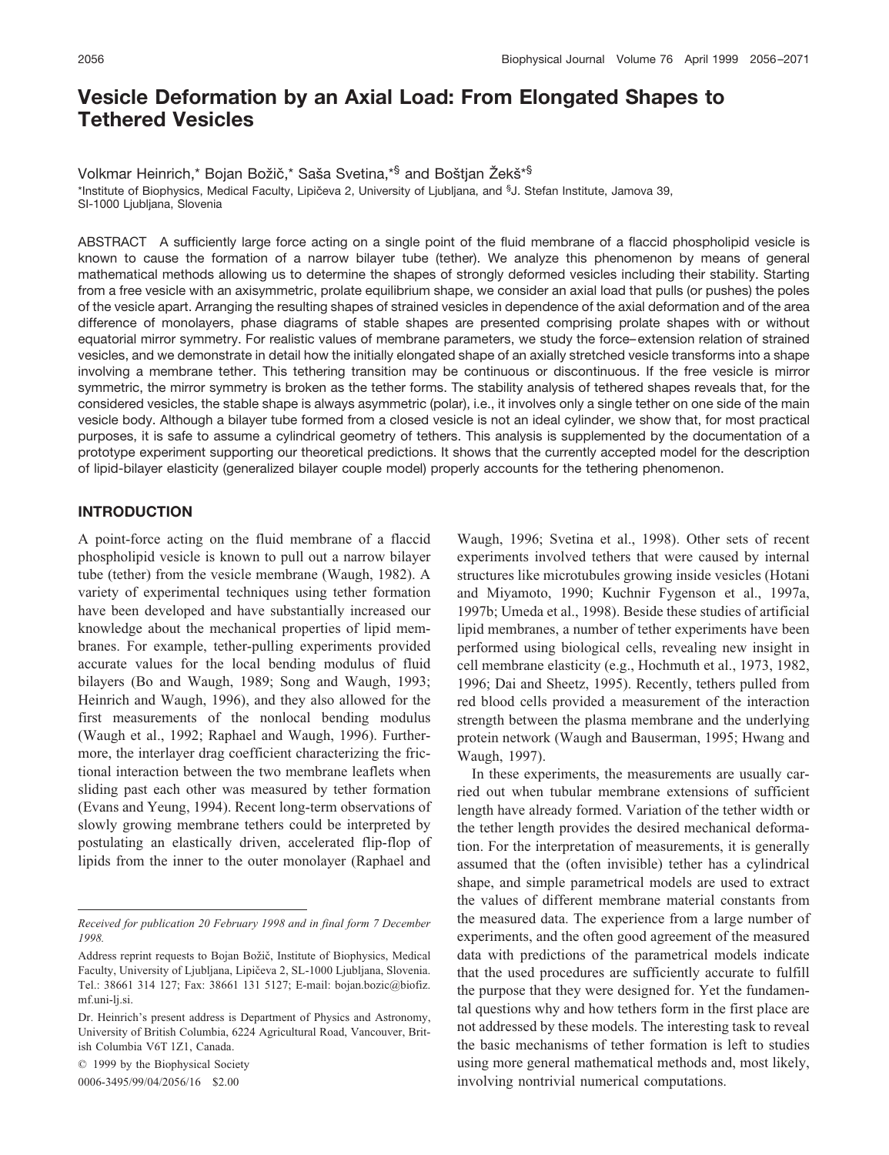# **Vesicle Deformation by an Axial Load: From Elongated Shapes to Tethered Vesicles**

Volkmar Heinrich,\* Bojan Božič,\* Saša Svetina,\*§ and Boštjan Žekš\*§ \*Institute of Biophysics, Medical Faculty, Lipičeva 2, University of Ljubljana, and <sup>§</sup>J. Stefan Institute, Jamova 39, SI-1000 Ljubljana, Slovenia

ABSTRACT A sufficiently large force acting on a single point of the fluid membrane of a flaccid phospholipid vesicle is known to cause the formation of a narrow bilayer tube (tether). We analyze this phenomenon by means of general mathematical methods allowing us to determine the shapes of strongly deformed vesicles including their stability. Starting from a free vesicle with an axisymmetric, prolate equilibrium shape, we consider an axial load that pulls (or pushes) the poles of the vesicle apart. Arranging the resulting shapes of strained vesicles in dependence of the axial deformation and of the area difference of monolayers, phase diagrams of stable shapes are presented comprising prolate shapes with or without equatorial mirror symmetry. For realistic values of membrane parameters, we study the force– extension relation of strained vesicles, and we demonstrate in detail how the initially elongated shape of an axially stretched vesicle transforms into a shape involving a membrane tether. This tethering transition may be continuous or discontinuous. If the free vesicle is mirror symmetric, the mirror symmetry is broken as the tether forms. The stability analysis of tethered shapes reveals that, for the considered vesicles, the stable shape is always asymmetric (polar), i.e., it involves only a single tether on one side of the main vesicle body. Although a bilayer tube formed from a closed vesicle is not an ideal cylinder, we show that, for most practical purposes, it is safe to assume a cylindrical geometry of tethers. This analysis is supplemented by the documentation of a prototype experiment supporting our theoretical predictions. It shows that the currently accepted model for the description of lipid-bilayer elasticity (generalized bilayer couple model) properly accounts for the tethering phenomenon.

#### **INTRODUCTION**

A point-force acting on the fluid membrane of a flaccid phospholipid vesicle is known to pull out a narrow bilayer tube (tether) from the vesicle membrane (Waugh, 1982). A variety of experimental techniques using tether formation have been developed and have substantially increased our knowledge about the mechanical properties of lipid membranes. For example, tether-pulling experiments provided accurate values for the local bending modulus of fluid bilayers (Bo and Waugh, 1989; Song and Waugh, 1993; Heinrich and Waugh, 1996), and they also allowed for the first measurements of the nonlocal bending modulus (Waugh et al., 1992; Raphael and Waugh, 1996). Furthermore, the interlayer drag coefficient characterizing the frictional interaction between the two membrane leaflets when sliding past each other was measured by tether formation (Evans and Yeung, 1994). Recent long-term observations of slowly growing membrane tethers could be interpreted by postulating an elastically driven, accelerated flip-flop of lipids from the inner to the outer monolayer (Raphael and

© 1999 by the Biophysical Society

0006-3495/99/04/2056/16 \$2.00

Waugh, 1996; Svetina et al., 1998). Other sets of recent experiments involved tethers that were caused by internal structures like microtubules growing inside vesicles (Hotani and Miyamoto, 1990; Kuchnir Fygenson et al., 1997a, 1997b; Umeda et al., 1998). Beside these studies of artificial lipid membranes, a number of tether experiments have been performed using biological cells, revealing new insight in cell membrane elasticity (e.g., Hochmuth et al., 1973, 1982, 1996; Dai and Sheetz, 1995). Recently, tethers pulled from red blood cells provided a measurement of the interaction strength between the plasma membrane and the underlying protein network (Waugh and Bauserman, 1995; Hwang and Waugh, 1997).

In these experiments, the measurements are usually carried out when tubular membrane extensions of sufficient length have already formed. Variation of the tether width or the tether length provides the desired mechanical deformation. For the interpretation of measurements, it is generally assumed that the (often invisible) tether has a cylindrical shape, and simple parametrical models are used to extract the values of different membrane material constants from the measured data. The experience from a large number of experiments, and the often good agreement of the measured data with predictions of the parametrical models indicate that the used procedures are sufficiently accurate to fulfill the purpose that they were designed for. Yet the fundamental questions why and how tethers form in the first place are not addressed by these models. The interesting task to reveal the basic mechanisms of tether formation is left to studies using more general mathematical methods and, most likely, involving nontrivial numerical computations.

*Received for publication 20 February 1998 and in final form 7 December 1998.*

Address reprint requests to Bojan Božič, Institute of Biophysics, Medical Faculty, University of Ljubljana, Lipičeva 2, SL-1000 Ljubljana, Slovenia. Tel.: 38661 314 127; Fax: 38661 131 5127; E-mail: bojan.bozic@biofiz. mf.uni-lj.si.

Dr. Heinrich's present address is Department of Physics and Astronomy, University of British Columbia, 6224 Agricultural Road, Vancouver, British Columbia V6T 1Z1, Canada.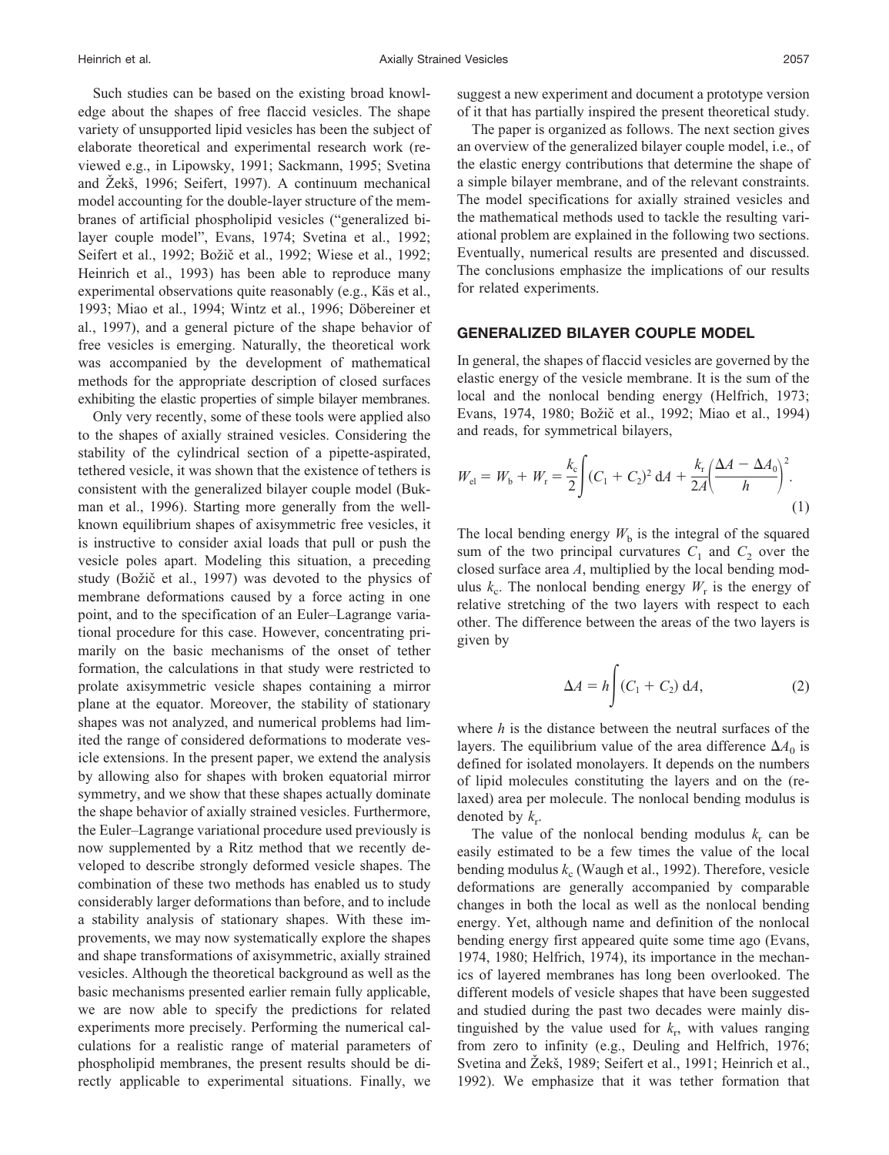Such studies can be based on the existing broad knowledge about the shapes of free flaccid vesicles. The shape variety of unsupported lipid vesicles has been the subject of elaborate theoretical and experimental research work (reviewed e.g., in Lipowsky, 1991; Sackmann, 1995; Svetina and Zekš, 1996; Seifert, 1997). A continuum mechanical model accounting for the double-layer structure of the membranes of artificial phospholipid vesicles ("generalized bilayer couple model", Evans, 1974; Svetina et al., 1992; Seifert et al., 1992; Božič et al., 1992; Wiese et al., 1992; Heinrich et al., 1993) has been able to reproduce many experimental observations quite reasonably (e.g., Käs et al., 1993; Miao et al., 1994; Wintz et al., 1996; Döbereiner et al., 1997), and a general picture of the shape behavior of free vesicles is emerging. Naturally, the theoretical work was accompanied by the development of mathematical methods for the appropriate description of closed surfaces exhibiting the elastic properties of simple bilayer membranes.

Only very recently, some of these tools were applied also to the shapes of axially strained vesicles. Considering the stability of the cylindrical section of a pipette-aspirated, tethered vesicle, it was shown that the existence of tethers is consistent with the generalized bilayer couple model (Bukman et al., 1996). Starting more generally from the wellknown equilibrium shapes of axisymmetric free vesicles, it is instructive to consider axial loads that pull or push the vesicle poles apart. Modeling this situation, a preceding study (Božič et al., 1997) was devoted to the physics of membrane deformations caused by a force acting in one point, and to the specification of an Euler–Lagrange variational procedure for this case. However, concentrating primarily on the basic mechanisms of the onset of tether formation, the calculations in that study were restricted to prolate axisymmetric vesicle shapes containing a mirror plane at the equator. Moreover, the stability of stationary shapes was not analyzed, and numerical problems had limited the range of considered deformations to moderate vesicle extensions. In the present paper, we extend the analysis by allowing also for shapes with broken equatorial mirror symmetry, and we show that these shapes actually dominate the shape behavior of axially strained vesicles. Furthermore, the Euler–Lagrange variational procedure used previously is now supplemented by a Ritz method that we recently developed to describe strongly deformed vesicle shapes. The combination of these two methods has enabled us to study considerably larger deformations than before, and to include a stability analysis of stationary shapes. With these improvements, we may now systematically explore the shapes and shape transformations of axisymmetric, axially strained vesicles. Although the theoretical background as well as the basic mechanisms presented earlier remain fully applicable, we are now able to specify the predictions for related experiments more precisely. Performing the numerical calculations for a realistic range of material parameters of phospholipid membranes, the present results should be directly applicable to experimental situations. Finally, we

suggest a new experiment and document a prototype version of it that has partially inspired the present theoretical study.

The paper is organized as follows. The next section gives an overview of the generalized bilayer couple model, i.e., of the elastic energy contributions that determine the shape of a simple bilayer membrane, and of the relevant constraints. The model specifications for axially strained vesicles and the mathematical methods used to tackle the resulting variational problem are explained in the following two sections. Eventually, numerical results are presented and discussed. The conclusions emphasize the implications of our results for related experiments.

## **GENERALIZED BILAYER COUPLE MODEL**

In general, the shapes of flaccid vesicles are governed by the elastic energy of the vesicle membrane. It is the sum of the local and the nonlocal bending energy (Helfrich, 1973; Evans, 1974, 1980; Božič et al., 1992; Miao et al., 1994) and reads, for symmetrical bilayers,

$$
W_{\rm el} = W_{\rm b} + W_{\rm r} = \frac{k_{\rm c}}{2} \int (C_1 + C_2)^2 \, \mathrm{d}A + \frac{k_{\rm r}}{2A} \left(\frac{\Delta A - \Delta A_0}{h}\right)^2. \tag{1}
$$

The local bending energy  $W<sub>b</sub>$  is the integral of the squared sum of the two principal curvatures  $C_1$  and  $C_2$  over the closed surface area *A*, multiplied by the local bending modulus  $k_c$ . The nonlocal bending energy  $W_r$  is the energy of relative stretching of the two layers with respect to each other. The difference between the areas of the two layers is given by

$$
\Delta A = h \int (C_1 + C_2) \, dA,\tag{2}
$$

where *h* is the distance between the neutral surfaces of the layers. The equilibrium value of the area difference  $\Delta A_0$  is defined for isolated monolayers. It depends on the numbers of lipid molecules constituting the layers and on the (relaxed) area per molecule. The nonlocal bending modulus is denoted by  $k_{r}$ .

The value of the nonlocal bending modulus  $k_r$  can be easily estimated to be a few times the value of the local bending modulus  $k_c$  (Waugh et al., 1992). Therefore, vesicle deformations are generally accompanied by comparable changes in both the local as well as the nonlocal bending energy. Yet, although name and definition of the nonlocal bending energy first appeared quite some time ago (Evans, 1974, 1980; Helfrich, 1974), its importance in the mechanics of layered membranes has long been overlooked. The different models of vesicle shapes that have been suggested and studied during the past two decades were mainly distinguished by the value used for  $k_r$ , with values ranging from zero to infinity (e.g., Deuling and Helfrich, 1976; Svetina and Žekš, 1989; Seifert et al., 1991; Heinrich et al., 1992). We emphasize that it was tether formation that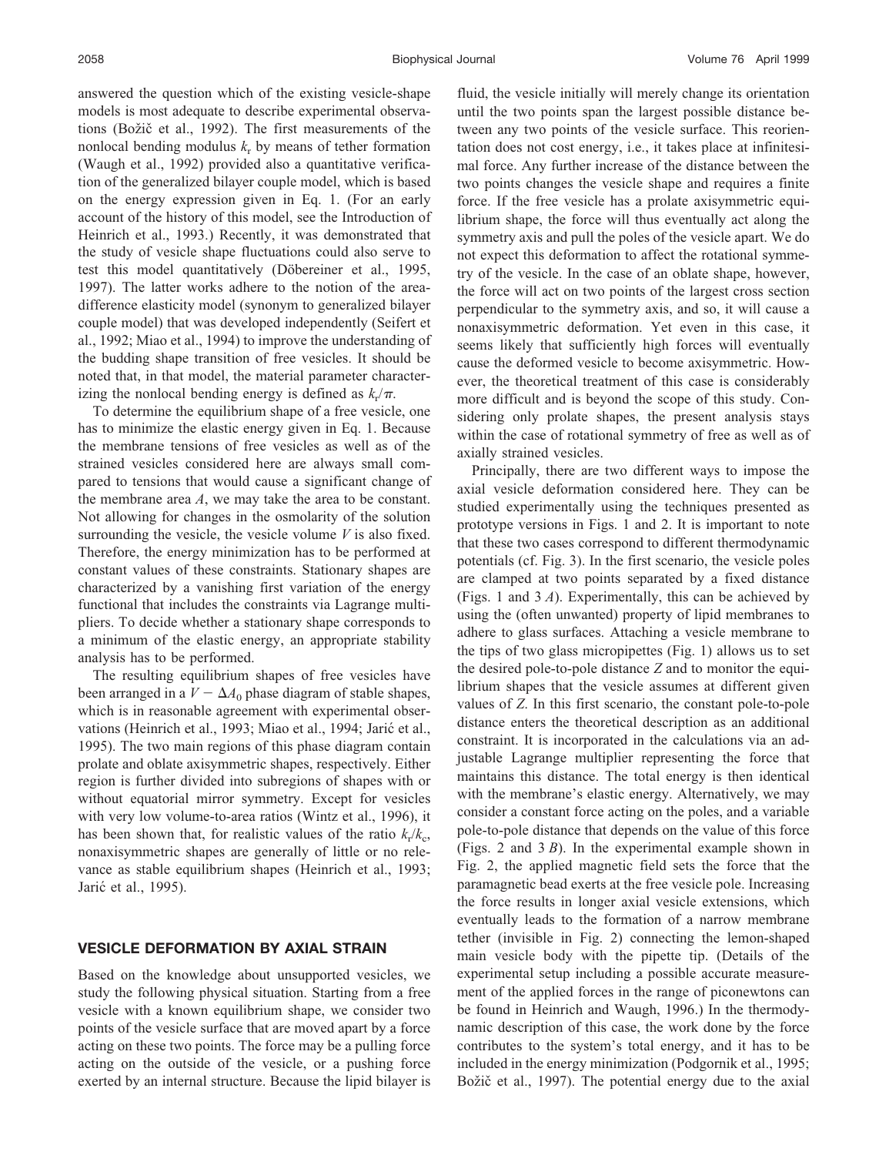answered the question which of the existing vesicle-shape models is most adequate to describe experimental observations (Božič et al., 1992). The first measurements of the nonlocal bending modulus  $k_r$  by means of tether formation (Waugh et al., 1992) provided also a quantitative verification of the generalized bilayer couple model, which is based on the energy expression given in Eq. 1. (For an early account of the history of this model, see the Introduction of Heinrich et al., 1993.) Recently, it was demonstrated that the study of vesicle shape fluctuations could also serve to test this model quantitatively (Döbereiner et al., 1995, 1997). The latter works adhere to the notion of the areadifference elasticity model (synonym to generalized bilayer couple model) that was developed independently (Seifert et al., 1992; Miao et al., 1994) to improve the understanding of the budding shape transition of free vesicles. It should be noted that, in that model, the material parameter characterizing the nonlocal bending energy is defined as  $k_r / \pi$ .

To determine the equilibrium shape of a free vesicle, one has to minimize the elastic energy given in Eq. 1. Because the membrane tensions of free vesicles as well as of the strained vesicles considered here are always small compared to tensions that would cause a significant change of the membrane area *A*, we may take the area to be constant. Not allowing for changes in the osmolarity of the solution surrounding the vesicle, the vesicle volume *V* is also fixed. Therefore, the energy minimization has to be performed at constant values of these constraints. Stationary shapes are characterized by a vanishing first variation of the energy functional that includes the constraints via Lagrange multipliers. To decide whether a stationary shape corresponds to a minimum of the elastic energy, an appropriate stability analysis has to be performed.

The resulting equilibrium shapes of free vesicles have been arranged in a  $V - \Delta A_0$  phase diagram of stable shapes, which is in reasonable agreement with experimental observations (Heinrich et al., 1993; Miao et al., 1994; Jarić et al., 1995). The two main regions of this phase diagram contain prolate and oblate axisymmetric shapes, respectively. Either region is further divided into subregions of shapes with or without equatorial mirror symmetry. Except for vesicles with very low volume-to-area ratios (Wintz et al., 1996), it has been shown that, for realistic values of the ratio  $k_r/k_c$ , nonaxisymmetric shapes are generally of little or no relevance as stable equilibrium shapes (Heinrich et al., 1993; Jarić et al., 1995).

## **VESICLE DEFORMATION BY AXIAL STRAIN**

Based on the knowledge about unsupported vesicles, we study the following physical situation. Starting from a free vesicle with a known equilibrium shape, we consider two points of the vesicle surface that are moved apart by a force acting on these two points. The force may be a pulling force acting on the outside of the vesicle, or a pushing force exerted by an internal structure. Because the lipid bilayer is fluid, the vesicle initially will merely change its orientation until the two points span the largest possible distance between any two points of the vesicle surface. This reorientation does not cost energy, i.e., it takes place at infinitesimal force. Any further increase of the distance between the two points changes the vesicle shape and requires a finite force. If the free vesicle has a prolate axisymmetric equilibrium shape, the force will thus eventually act along the symmetry axis and pull the poles of the vesicle apart. We do not expect this deformation to affect the rotational symmetry of the vesicle. In the case of an oblate shape, however, the force will act on two points of the largest cross section perpendicular to the symmetry axis, and so, it will cause a nonaxisymmetric deformation. Yet even in this case, it seems likely that sufficiently high forces will eventually cause the deformed vesicle to become axisymmetric. However, the theoretical treatment of this case is considerably more difficult and is beyond the scope of this study. Considering only prolate shapes, the present analysis stays within the case of rotational symmetry of free as well as of axially strained vesicles.

Principally, there are two different ways to impose the axial vesicle deformation considered here. They can be studied experimentally using the techniques presented as prototype versions in Figs. 1 and 2. It is important to note that these two cases correspond to different thermodynamic potentials (cf. Fig. 3). In the first scenario, the vesicle poles are clamped at two points separated by a fixed distance (Figs. 1 and 3 *A*). Experimentally, this can be achieved by using the (often unwanted) property of lipid membranes to adhere to glass surfaces. Attaching a vesicle membrane to the tips of two glass micropipettes (Fig. 1) allows us to set the desired pole-to-pole distance *Z* and to monitor the equilibrium shapes that the vesicle assumes at different given values of *Z*. In this first scenario, the constant pole-to-pole distance enters the theoretical description as an additional constraint. It is incorporated in the calculations via an adjustable Lagrange multiplier representing the force that maintains this distance. The total energy is then identical with the membrane's elastic energy. Alternatively, we may consider a constant force acting on the poles, and a variable pole-to-pole distance that depends on the value of this force (Figs. 2 and 3 *B*). In the experimental example shown in Fig. 2, the applied magnetic field sets the force that the paramagnetic bead exerts at the free vesicle pole. Increasing the force results in longer axial vesicle extensions, which eventually leads to the formation of a narrow membrane tether (invisible in Fig. 2) connecting the lemon-shaped main vesicle body with the pipette tip. (Details of the experimental setup including a possible accurate measurement of the applied forces in the range of piconewtons can be found in Heinrich and Waugh, 1996.) In the thermodynamic description of this case, the work done by the force contributes to the system's total energy, and it has to be included in the energy minimization (Podgornik et al., 1995; Božič et al., 1997). The potential energy due to the axial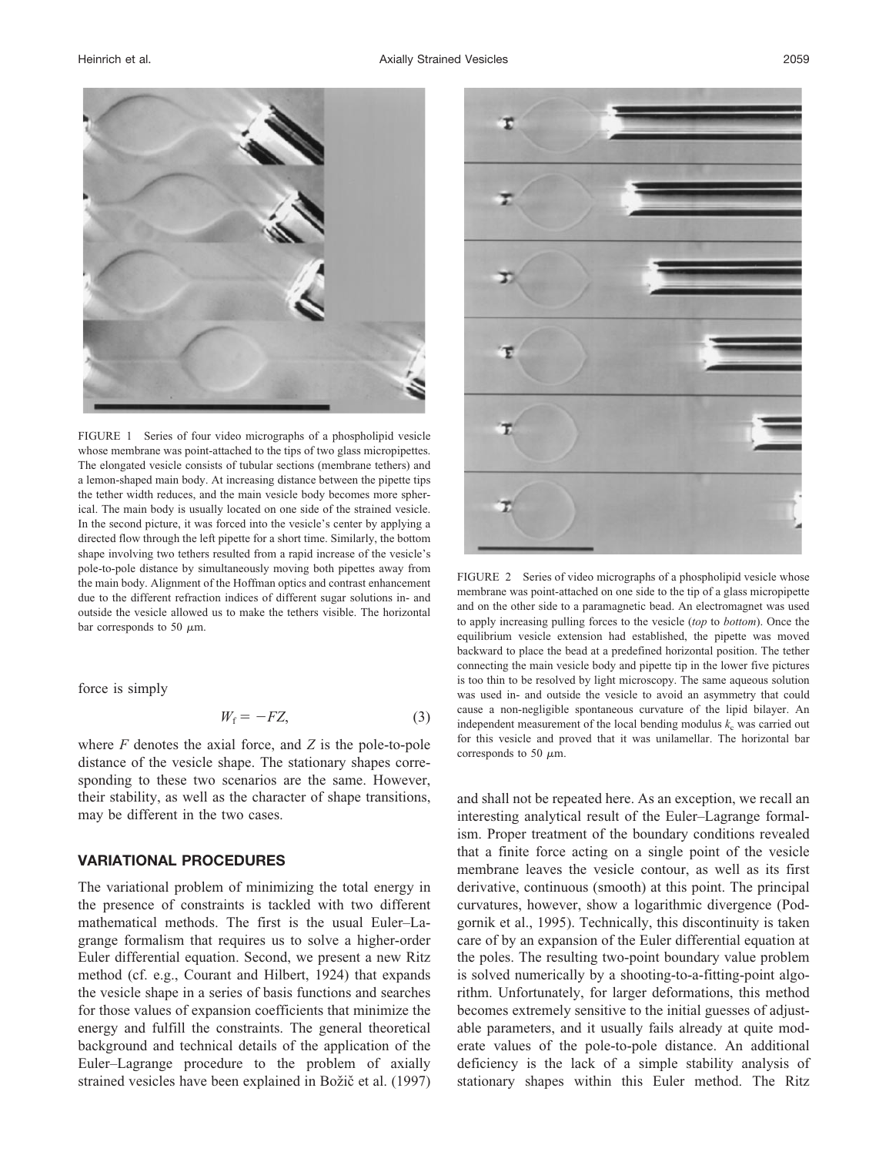

FIGURE 1 Series of four video micrographs of a phospholipid vesicle whose membrane was point-attached to the tips of two glass micropipettes. The elongated vesicle consists of tubular sections (membrane tethers) and a lemon-shaped main body. At increasing distance between the pipette tips the tether width reduces, and the main vesicle body becomes more spherical. The main body is usually located on one side of the strained vesicle. In the second picture, it was forced into the vesicle's center by applying a directed flow through the left pipette for a short time. Similarly, the bottom shape involving two tethers resulted from a rapid increase of the vesicle's pole-to-pole distance by simultaneously moving both pipettes away from the main body. Alignment of the Hoffman optics and contrast enhancement due to the different refraction indices of different sugar solutions in- and outside the vesicle allowed us to make the tethers visible. The horizontal bar corresponds to 50  $\mu$ m.

force is simply

$$
W_{\rm f} = -FZ,\tag{3}
$$

where *F* denotes the axial force, and *Z* is the pole-to-pole distance of the vesicle shape. The stationary shapes corresponding to these two scenarios are the same. However, their stability, as well as the character of shape transitions, may be different in the two cases.

## **VARIATIONAL PROCEDURES**

The variational problem of minimizing the total energy in the presence of constraints is tackled with two different mathematical methods. The first is the usual Euler–Lagrange formalism that requires us to solve a higher-order Euler differential equation. Second, we present a new Ritz method (cf. e.g., Courant and Hilbert, 1924) that expands the vesicle shape in a series of basis functions and searches for those values of expansion coefficients that minimize the energy and fulfill the constraints. The general theoretical background and technical details of the application of the Euler–Lagrange procedure to the problem of axially strained vesicles have been explained in Božič et al. (1997)



FIGURE 2 Series of video micrographs of a phospholipid vesicle whose membrane was point-attached on one side to the tip of a glass micropipette and on the other side to a paramagnetic bead. An electromagnet was used to apply increasing pulling forces to the vesicle (*top* to *bottom*). Once the equilibrium vesicle extension had established, the pipette was moved backward to place the bead at a predefined horizontal position. The tether connecting the main vesicle body and pipette tip in the lower five pictures is too thin to be resolved by light microscopy. The same aqueous solution was used in- and outside the vesicle to avoid an asymmetry that could cause a non-negligible spontaneous curvature of the lipid bilayer. An independent measurement of the local bending modulus  $k_c$  was carried out for this vesicle and proved that it was unilamellar. The horizontal bar corresponds to 50  $\mu$ m.

and shall not be repeated here. As an exception, we recall an interesting analytical result of the Euler–Lagrange formalism. Proper treatment of the boundary conditions revealed that a finite force acting on a single point of the vesicle membrane leaves the vesicle contour, as well as its first derivative, continuous (smooth) at this point. The principal curvatures, however, show a logarithmic divergence (Podgornik et al., 1995). Technically, this discontinuity is taken care of by an expansion of the Euler differential equation at the poles. The resulting two-point boundary value problem is solved numerically by a shooting-to-a-fitting-point algorithm. Unfortunately, for larger deformations, this method becomes extremely sensitive to the initial guesses of adjustable parameters, and it usually fails already at quite moderate values of the pole-to-pole distance. An additional deficiency is the lack of a simple stability analysis of stationary shapes within this Euler method. The Ritz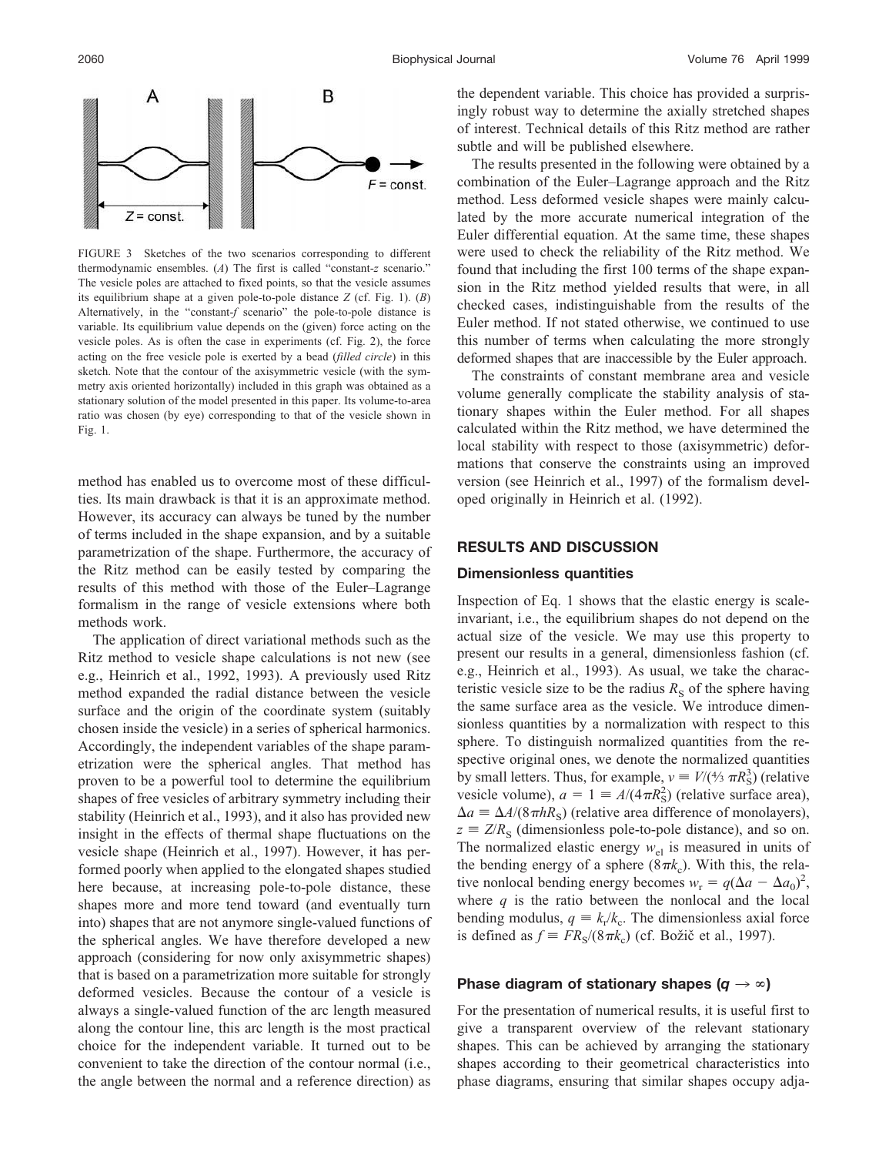

FIGURE 3 Sketches of the two scenarios corresponding to different thermodynamic ensembles. (*A*) The first is called "constant-*z* scenario." The vesicle poles are attached to fixed points, so that the vesicle assumes its equilibrium shape at a given pole-to-pole distance *Z* (cf. Fig. 1). (*B*) Alternatively, in the "constant-*f* scenario" the pole-to-pole distance is variable. Its equilibrium value depends on the (given) force acting on the vesicle poles. As is often the case in experiments (cf. Fig. 2), the force acting on the free vesicle pole is exerted by a bead (*filled circle*) in this sketch. Note that the contour of the axisymmetric vesicle (with the symmetry axis oriented horizontally) included in this graph was obtained as a stationary solution of the model presented in this paper. Its volume-to-area ratio was chosen (by eye) corresponding to that of the vesicle shown in Fig. 1.

method has enabled us to overcome most of these difficulties. Its main drawback is that it is an approximate method. However, its accuracy can always be tuned by the number of terms included in the shape expansion, and by a suitable parametrization of the shape. Furthermore, the accuracy of the Ritz method can be easily tested by comparing the results of this method with those of the Euler–Lagrange formalism in the range of vesicle extensions where both methods work.

The application of direct variational methods such as the Ritz method to vesicle shape calculations is not new (see e.g., Heinrich et al., 1992, 1993). A previously used Ritz method expanded the radial distance between the vesicle surface and the origin of the coordinate system (suitably chosen inside the vesicle) in a series of spherical harmonics. Accordingly, the independent variables of the shape parametrization were the spherical angles. That method has proven to be a powerful tool to determine the equilibrium shapes of free vesicles of arbitrary symmetry including their stability (Heinrich et al., 1993), and it also has provided new insight in the effects of thermal shape fluctuations on the vesicle shape (Heinrich et al., 1997). However, it has performed poorly when applied to the elongated shapes studied here because, at increasing pole-to-pole distance, these shapes more and more tend toward (and eventually turn into) shapes that are not anymore single-valued functions of the spherical angles. We have therefore developed a new approach (considering for now only axisymmetric shapes) that is based on a parametrization more suitable for strongly deformed vesicles. Because the contour of a vesicle is always a single-valued function of the arc length measured along the contour line, this arc length is the most practical choice for the independent variable. It turned out to be convenient to take the direction of the contour normal (i.e., the angle between the normal and a reference direction) as

the dependent variable. This choice has provided a surprisingly robust way to determine the axially stretched shapes of interest. Technical details of this Ritz method are rather subtle and will be published elsewhere.

The results presented in the following were obtained by a combination of the Euler–Lagrange approach and the Ritz method. Less deformed vesicle shapes were mainly calculated by the more accurate numerical integration of the Euler differential equation. At the same time, these shapes were used to check the reliability of the Ritz method. We found that including the first 100 terms of the shape expansion in the Ritz method yielded results that were, in all checked cases, indistinguishable from the results of the Euler method. If not stated otherwise, we continued to use this number of terms when calculating the more strongly deformed shapes that are inaccessible by the Euler approach.

The constraints of constant membrane area and vesicle volume generally complicate the stability analysis of stationary shapes within the Euler method. For all shapes calculated within the Ritz method, we have determined the local stability with respect to those (axisymmetric) deformations that conserve the constraints using an improved version (see Heinrich et al., 1997) of the formalism developed originally in Heinrich et al. (1992).

## **RESULTS AND DISCUSSION**

#### **Dimensionless quantities**

Inspection of Eq. 1 shows that the elastic energy is scaleinvariant, i.e., the equilibrium shapes do not depend on the actual size of the vesicle. We may use this property to present our results in a general, dimensionless fashion (cf. e.g., Heinrich et al., 1993). As usual, we take the characteristic vesicle size to be the radius  $R<sub>S</sub>$  of the sphere having the same surface area as the vesicle. We introduce dimensionless quantities by a normalization with respect to this sphere. To distinguish normalized quantities from the respective original ones, we denote the normalized quantities by small letters. Thus, for example,  $v \equiv V/(4/3 \pi R_S^3)$  (relative vesicle volume),  $a = 1 \equiv A/(4\pi R_S^2)$  (relative surface area),  $\Delta a \equiv \Delta A/(8\pi hR_s)$  (relative area difference of monolayers),  $z \equiv Z/R<sub>S</sub>$  (dimensionless pole-to-pole distance), and so on. The normalized elastic energy  $w_{el}$  is measured in units of the bending energy of a sphere  $(8\pi k_c)$ . With this, the relative nonlocal bending energy becomes  $w_r = q(\Delta a - \Delta a_0)^2$ , where *q* is the ratio between the nonlocal and the local bending modulus,  $q \equiv k_r / k_c$ . The dimensionless axial force is defined as  $f = FR_s/(8 \pi k_c)$  (cf. Božič et al., 1997).

#### Phase diagram of stationary shapes ( $q \rightarrow \infty$ )

For the presentation of numerical results, it is useful first to give a transparent overview of the relevant stationary shapes. This can be achieved by arranging the stationary shapes according to their geometrical characteristics into phase diagrams, ensuring that similar shapes occupy adja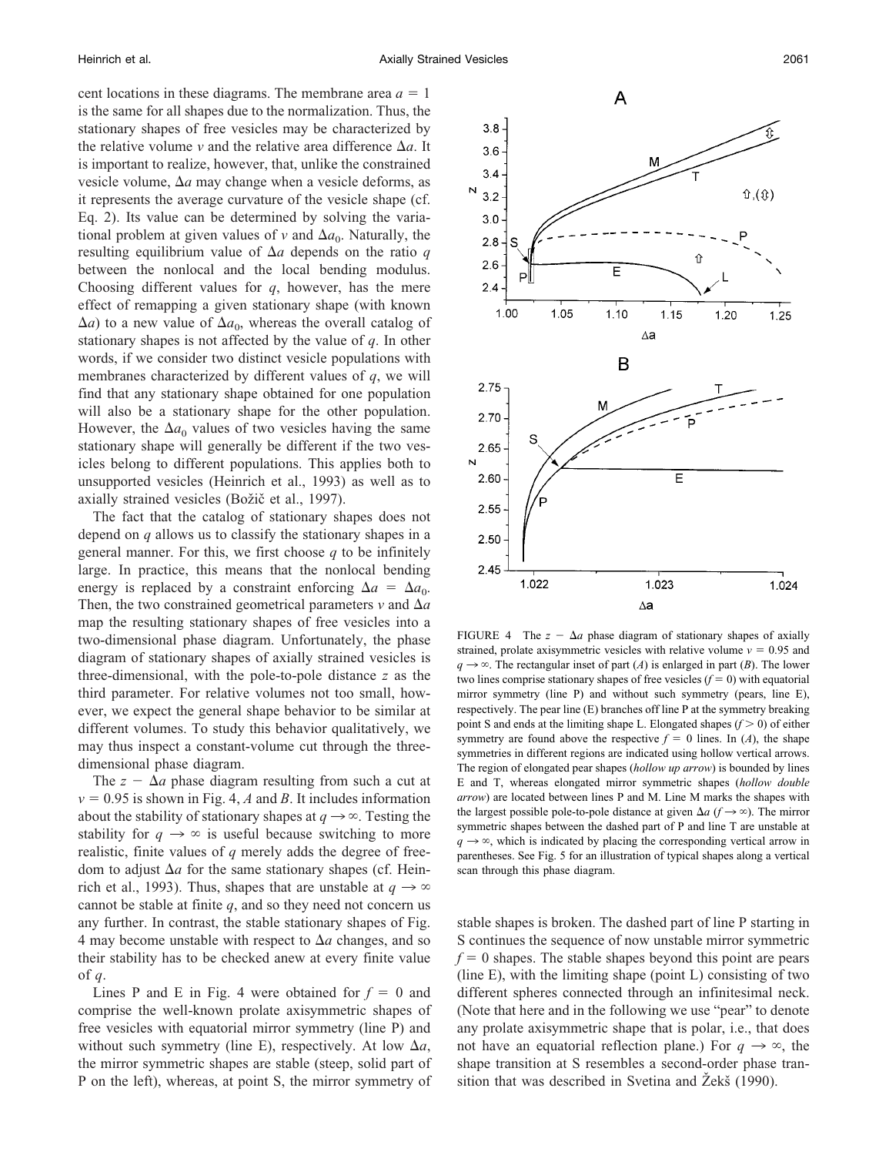cent locations in these diagrams. The membrane area  $a = 1$ is the same for all shapes due to the normalization. Thus, the stationary shapes of free vesicles may be characterized by the relative volume  $\nu$  and the relative area difference  $\Delta a$ . It is important to realize, however, that, unlike the constrained vesicle volume,  $\Delta a$  may change when a vesicle deforms, as it represents the average curvature of the vesicle shape (cf. Eq. 2). Its value can be determined by solving the variational problem at given values of *v* and  $\Delta a_0$ . Naturally, the resulting equilibrium value of  $\Delta a$  depends on the ratio *q* between the nonlocal and the local bending modulus. Choosing different values for *q*, however, has the mere effect of remapping a given stationary shape (with known  $\Delta a$ ) to a new value of  $\Delta a_0$ , whereas the overall catalog of stationary shapes is not affected by the value of *q*. In other words, if we consider two distinct vesicle populations with membranes characterized by different values of *q*, we will find that any stationary shape obtained for one population will also be a stationary shape for the other population. However, the  $\Delta a_0$  values of two vesicles having the same stationary shape will generally be different if the two vesicles belong to different populations. This applies both to unsupported vesicles (Heinrich et al., 1993) as well as to axially strained vesicles (Božič et al., 1997).

The fact that the catalog of stationary shapes does not depend on *q* allows us to classify the stationary shapes in a general manner. For this, we first choose *q* to be infinitely large. In practice, this means that the nonlocal bending energy is replaced by a constraint enforcing  $\Delta a = \Delta a_0$ . Then, the two constrained geometrical parameters  $v$  and  $\Delta a$ map the resulting stationary shapes of free vesicles into a two-dimensional phase diagram. Unfortunately, the phase diagram of stationary shapes of axially strained vesicles is three-dimensional, with the pole-to-pole distance *z* as the third parameter. For relative volumes not too small, however, we expect the general shape behavior to be similar at different volumes. To study this behavior qualitatively, we may thus inspect a constant-volume cut through the threedimensional phase diagram.

The  $z - \Delta a$  phase diagram resulting from such a cut at  $v = 0.95$  is shown in Fig. 4, *A* and *B*. It includes information about the stability of stationary shapes at  $q \rightarrow \infty$ . Testing the stability for  $q \rightarrow \infty$  is useful because switching to more realistic, finite values of *q* merely adds the degree of freedom to adjust  $\Delta a$  for the same stationary shapes (cf. Heinrich et al., 1993). Thus, shapes that are unstable at  $q \to \infty$ cannot be stable at finite *q*, and so they need not concern us any further. In contrast, the stable stationary shapes of Fig. 4 may become unstable with respect to  $\Delta a$  changes, and so their stability has to be checked anew at every finite value of *q*.

Lines P and E in Fig. 4 were obtained for  $f = 0$  and comprise the well-known prolate axisymmetric shapes of free vesicles with equatorial mirror symmetry (line P) and without such symmetry (line E), respectively. At low  $\Delta a$ , the mirror symmetric shapes are stable (steep, solid part of P on the left), whereas, at point S, the mirror symmetry of



FIGURE 4 The  $z - \Delta a$  phase diagram of stationary shapes of axially strained, prolate axisymmetric vesicles with relative volume  $v = 0.95$  and  $q \rightarrow \infty$ . The rectangular inset of part (*A*) is enlarged in part (*B*). The lower two lines comprise stationary shapes of free vesicles  $(f = 0)$  with equatorial mirror symmetry (line P) and without such symmetry (pears, line E), respectively. The pear line (E) branches off line P at the symmetry breaking point S and ends at the limiting shape L. Elongated shapes  $(f \ge 0)$  of either symmetry are found above the respective  $f = 0$  lines. In (*A*), the shape symmetries in different regions are indicated using hollow vertical arrows. The region of elongated pear shapes (*hollow up arrow*) is bounded by lines E and T, whereas elongated mirror symmetric shapes (*hollow double arrow*) are located between lines P and M. Line M marks the shapes with the largest possible pole-to-pole distance at given  $\Delta a$  ( $f \rightarrow \infty$ ). The mirror symmetric shapes between the dashed part of P and line T are unstable at  $q \rightarrow \infty$ , which is indicated by placing the corresponding vertical arrow in parentheses. See Fig. 5 for an illustration of typical shapes along a vertical scan through this phase diagram.

stable shapes is broken. The dashed part of line P starting in S continues the sequence of now unstable mirror symmetric  $f = 0$  shapes. The stable shapes beyond this point are pears (line E), with the limiting shape (point L) consisting of two different spheres connected through an infinitesimal neck. (Note that here and in the following we use "pear" to denote any prolate axisymmetric shape that is polar, i.e., that does not have an equatorial reflection plane.) For  $q \to \infty$ , the shape transition at S resembles a second-order phase transition that was described in Svetina and Žekš (1990).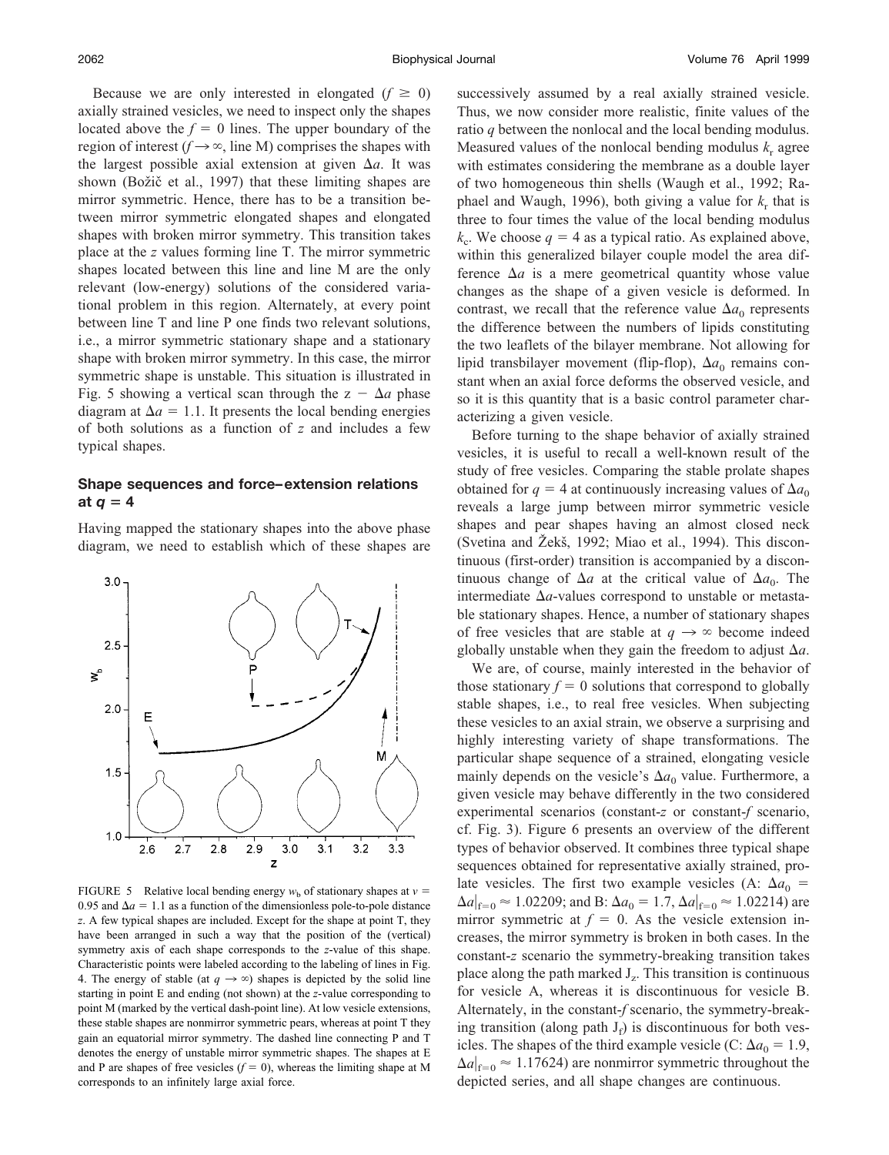Because we are only interested in elongated  $(f \ge 0)$ axially strained vesicles, we need to inspect only the shapes located above the  $f = 0$  lines. The upper boundary of the region of interest ( $f \rightarrow \infty$ , line M) comprises the shapes with the largest possible axial extension at given  $\Delta a$ . It was shown (Božič et al., 1997) that these limiting shapes are mirror symmetric. Hence, there has to be a transition between mirror symmetric elongated shapes and elongated shapes with broken mirror symmetry. This transition takes place at the *z* values forming line T. The mirror symmetric shapes located between this line and line M are the only relevant (low-energy) solutions of the considered variational problem in this region. Alternately, at every point between line T and line P one finds two relevant solutions, i.e., a mirror symmetric stationary shape and a stationary shape with broken mirror symmetry. In this case, the mirror symmetric shape is unstable. This situation is illustrated in Fig. 5 showing a vertical scan through the  $z - \Delta a$  phase diagram at  $\Delta a = 1.1$ . It presents the local bending energies of both solutions as a function of *z* and includes a few typical shapes.

## **Shape sequences and force– extension relations at**  $q = 4$

Having mapped the stationary shapes into the above phase diagram, we need to establish which of these shapes are



FIGURE 5 Relative local bending energy  $w<sub>b</sub>$  of stationary shapes at  $v =$ 0.95 and  $\Delta a = 1.1$  as a function of the dimensionless pole-to-pole distance *z*. A few typical shapes are included. Except for the shape at point T, they have been arranged in such a way that the position of the (vertical) symmetry axis of each shape corresponds to the *z*-value of this shape. Characteristic points were labeled according to the labeling of lines in Fig. 4. The energy of stable (at  $q \rightarrow \infty$ ) shapes is depicted by the solid line starting in point E and ending (not shown) at the *z*-value corresponding to point M (marked by the vertical dash-point line). At low vesicle extensions, these stable shapes are nonmirror symmetric pears, whereas at point T they gain an equatorial mirror symmetry. The dashed line connecting P and T denotes the energy of unstable mirror symmetric shapes. The shapes at E and P are shapes of free vesicles  $(f = 0)$ , whereas the limiting shape at M corresponds to an infinitely large axial force.

successively assumed by a real axially strained vesicle. Thus, we now consider more realistic, finite values of the ratio *q* between the nonlocal and the local bending modulus. Measured values of the nonlocal bending modulus  $k_r$  agree with estimates considering the membrane as a double layer of two homogeneous thin shells (Waugh et al., 1992; Raphael and Waugh, 1996), both giving a value for  $k_r$  that is three to four times the value of the local bending modulus  $k_c$ . We choose  $q = 4$  as a typical ratio. As explained above, within this generalized bilayer couple model the area difference  $\Delta a$  is a mere geometrical quantity whose value changes as the shape of a given vesicle is deformed. In contrast, we recall that the reference value  $\Delta a_0$  represents the difference between the numbers of lipids constituting the two leaflets of the bilayer membrane. Not allowing for lipid transbilayer movement (flip-flop),  $\Delta a_0$  remains constant when an axial force deforms the observed vesicle, and so it is this quantity that is a basic control parameter characterizing a given vesicle.

Before turning to the shape behavior of axially strained vesicles, it is useful to recall a well-known result of the study of free vesicles. Comparing the stable prolate shapes obtained for  $q = 4$  at continuously increasing values of  $\Delta a_0$ reveals a large jump between mirror symmetric vesicle shapes and pear shapes having an almost closed neck (Svetina and Žekš, 1992; Miao et al., 1994). This discontinuous (first-order) transition is accompanied by a discontinuous change of  $\Delta a$  at the critical value of  $\Delta a_0$ . The intermediate  $\Delta a$ -values correspond to unstable or metastable stationary shapes. Hence, a number of stationary shapes of free vesicles that are stable at  $q \to \infty$  become indeed globally unstable when they gain the freedom to adjust  $\Delta a$ .

We are, of course, mainly interested in the behavior of those stationary  $f = 0$  solutions that correspond to globally stable shapes, i.e., to real free vesicles. When subjecting these vesicles to an axial strain, we observe a surprising and highly interesting variety of shape transformations. The particular shape sequence of a strained, elongating vesicle mainly depends on the vesicle's  $\Delta a_0$  value. Furthermore, a given vesicle may behave differently in the two considered experimental scenarios (constant-*z* or constant-*f* scenario, cf. Fig. 3). Figure 6 presents an overview of the different types of behavior observed. It combines three typical shape sequences obtained for representative axially strained, prolate vesicles. The first two example vesicles (A:  $\Delta a_0$  =  $\Delta a|_{f=0} \approx 1.02209$ ; and B:  $\Delta a_0 = 1.7$ ,  $\Delta a|_{f=0} \approx 1.02214$ ) are mirror symmetric at  $f = 0$ . As the vesicle extension increases, the mirror symmetry is broken in both cases. In the constant-*z* scenario the symmetry-breaking transition takes place along the path marked  $J_z$ . This transition is continuous for vesicle A, whereas it is discontinuous for vesicle B. Alternately, in the constant-*f* scenario, the symmetry-breaking transition (along path  $J_f$ ) is discontinuous for both vesicles. The shapes of the third example vesicle (C:  $\Delta a_0 = 1.9$ ,  $\Delta a|_{f=0} \approx 1.17624$ ) are nonmirror symmetric throughout the depicted series, and all shape changes are continuous.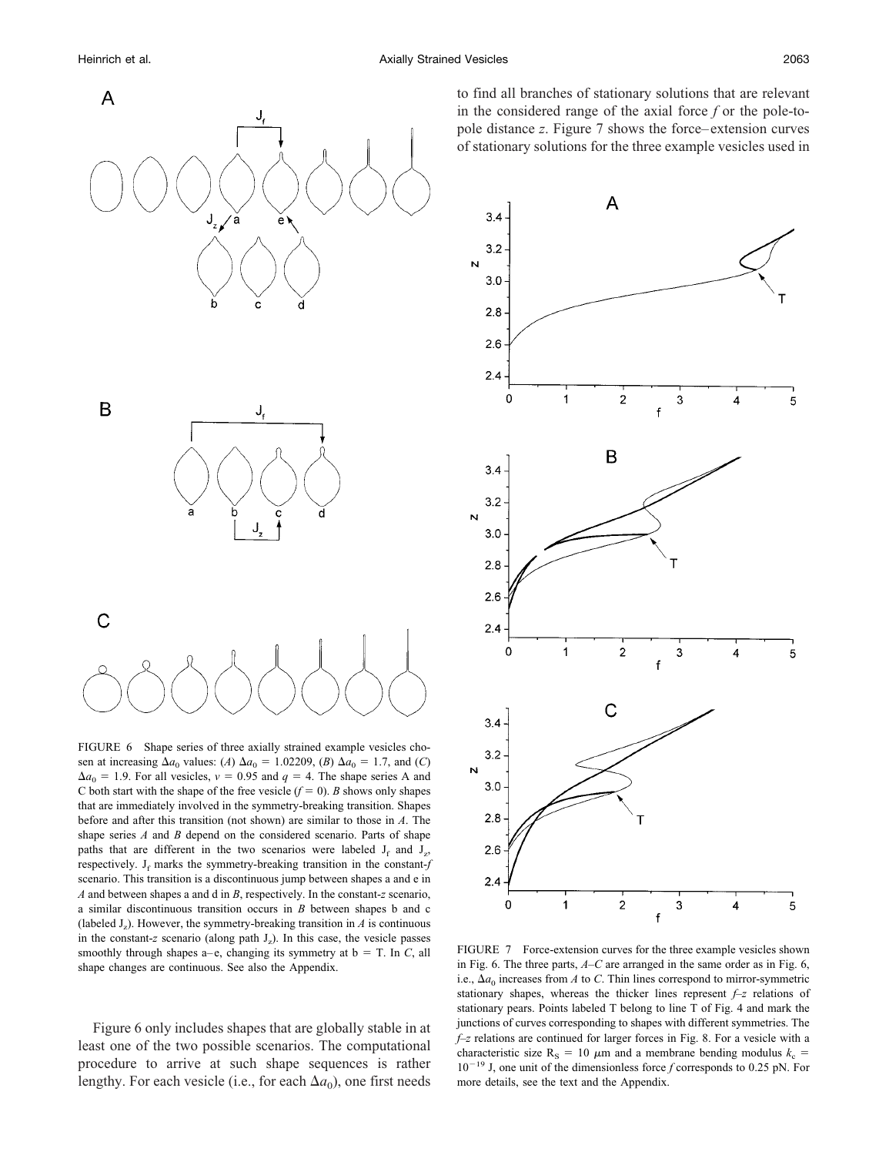





FIGURE 6 Shape series of three axially strained example vesicles chosen at increasing  $\Delta a_0$  values: (*A*)  $\Delta a_0 = 1.02209$ , (*B*)  $\Delta a_0 = 1.7$ , and (*C*)  $\Delta a_0 = 1.9$ . For all vesicles,  $v = 0.95$  and  $q = 4$ . The shape series A and C both start with the shape of the free vesicle  $(f = 0)$ . *B* shows only shapes that are immediately involved in the symmetry-breaking transition. Shapes before and after this transition (not shown) are similar to those in *A*. The shape series *A* and *B* depend on the considered scenario. Parts of shape paths that are different in the two scenarios were labeled  $J_f$  and  $J_z$ , respectively.  $J_f$  marks the symmetry-breaking transition in the constant- $f$ scenario. This transition is a discontinuous jump between shapes a and e in *A* and between shapes a and d in *B*, respectively. In the constant-*z* scenario, a similar discontinuous transition occurs in *B* between shapes b and c (labeled  $J_z$ ). However, the symmetry-breaking transition in *A* is continuous in the constant-*z* scenario (along path  $J_z$ ). In this case, the vesicle passes smoothly through shapes a–e, changing its symmetry at  $b = T$ . In *C*, all shape changes are continuous. See also the Appendix.

Figure 6 only includes shapes that are globally stable in at least one of the two possible scenarios. The computational procedure to arrive at such shape sequences is rather lengthy. For each vesicle (i.e., for each  $\Delta a_0$ ), one first needs

to find all branches of stationary solutions that are relevant in the considered range of the axial force *f* or the pole-topole distance *z*. Figure 7 shows the force– extension curves of stationary solutions for the three example vesicles used in



FIGURE 7 Force-extension curves for the three example vesicles shown in Fig. 6. The three parts, *A*–*C* are arranged in the same order as in Fig. 6, i.e.,  $\Delta a_0$  increases from *A* to *C*. Thin lines correspond to mirror-symmetric stationary shapes, whereas the thicker lines represent *f*–*z* relations of stationary pears. Points labeled T belong to line T of Fig. 4 and mark the junctions of curves corresponding to shapes with different symmetries. The *f*–*z* relations are continued for larger forces in Fig. 8. For a vesicle with a characteristic size  $R_s = 10 \mu m$  and a membrane bending modulus  $k_c =$  $10^{-19}$  J, one unit of the dimensionless force *f* corresponds to 0.25 pN. For more details, see the text and the Appendix.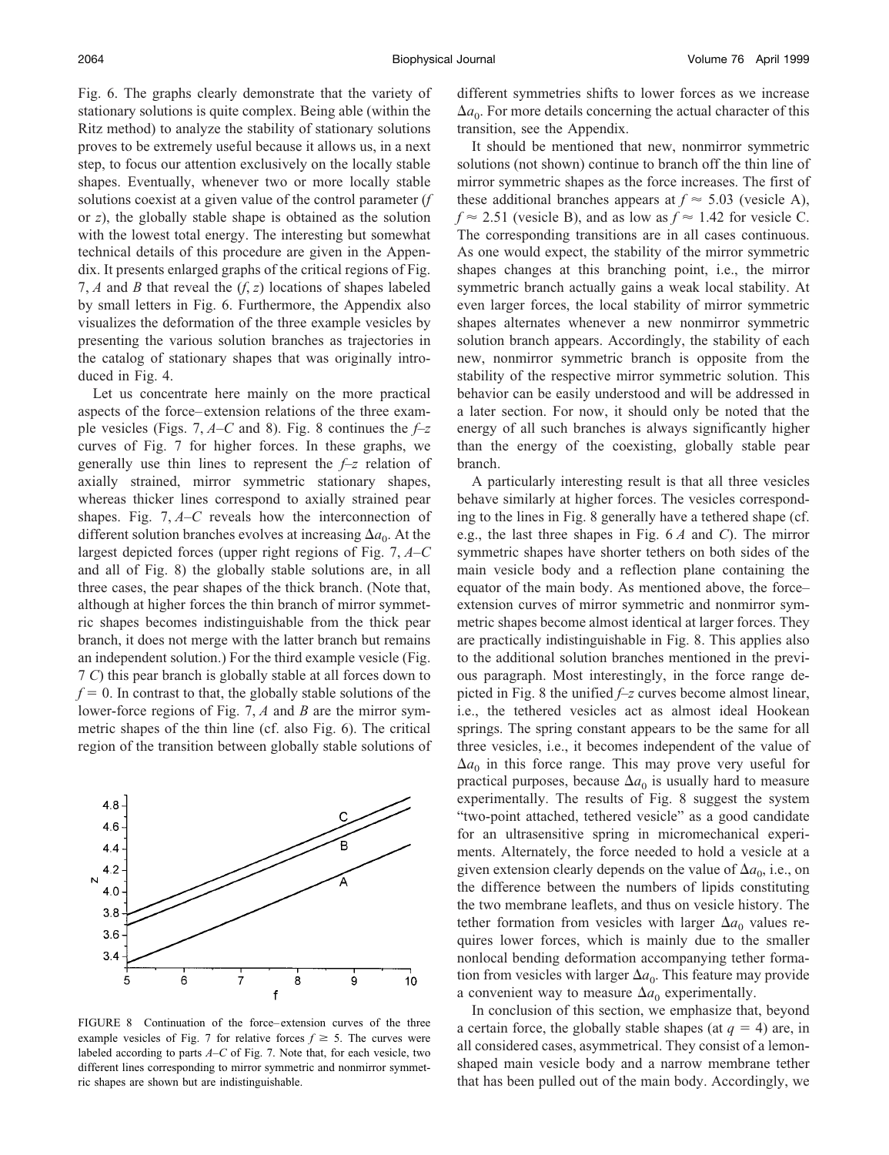Fig. 6. The graphs clearly demonstrate that the variety of stationary solutions is quite complex. Being able (within the Ritz method) to analyze the stability of stationary solutions proves to be extremely useful because it allows us, in a next step, to focus our attention exclusively on the locally stable shapes. Eventually, whenever two or more locally stable solutions coexist at a given value of the control parameter (*f* or *z*), the globally stable shape is obtained as the solution with the lowest total energy. The interesting but somewhat technical details of this procedure are given in the Appendix. It presents enlarged graphs of the critical regions of Fig. 7, *A* and *B* that reveal the (*f*, *z*) locations of shapes labeled by small letters in Fig. 6. Furthermore, the Appendix also visualizes the deformation of the three example vesicles by presenting the various solution branches as trajectories in the catalog of stationary shapes that was originally introduced in Fig. 4.

Let us concentrate here mainly on the more practical aspects of the force– extension relations of the three example vesicles (Figs. 7, *A*–*C* and 8). Fig. 8 continues the *f*–*z* curves of Fig. 7 for higher forces. In these graphs, we generally use thin lines to represent the *f*–*z* relation of axially strained, mirror symmetric stationary shapes, whereas thicker lines correspond to axially strained pear shapes. Fig. 7, *A*–*C* reveals how the interconnection of different solution branches evolves at increasing  $\Delta a_0$ . At the largest depicted forces (upper right regions of Fig. 7, *A*–*C* and all of Fig. 8) the globally stable solutions are, in all three cases, the pear shapes of the thick branch. (Note that, although at higher forces the thin branch of mirror symmetric shapes becomes indistinguishable from the thick pear branch, it does not merge with the latter branch but remains an independent solution.) For the third example vesicle (Fig. 7 *C*) this pear branch is globally stable at all forces down to  $f = 0$ . In contrast to that, the globally stable solutions of the lower-force regions of Fig. 7, *A* and *B* are the mirror symmetric shapes of the thin line (cf. also Fig. 6). The critical region of the transition between globally stable solutions of



FIGURE 8 Continuation of the force– extension curves of the three example vesicles of Fig. 7 for relative forces  $f \geq 5$ . The curves were labeled according to parts *A*–*C* of Fig. 7. Note that, for each vesicle, two different lines corresponding to mirror symmetric and nonmirror symmetric shapes are shown but are indistinguishable.

different symmetries shifts to lower forces as we increase  $\Delta a_0$ . For more details concerning the actual character of this transition, see the Appendix.

It should be mentioned that new, nonmirror symmetric solutions (not shown) continue to branch off the thin line of mirror symmetric shapes as the force increases. The first of these additional branches appears at  $f \approx 5.03$  (vesicle A),  $f \approx 2.51$  (vesicle B), and as low as  $f \approx 1.42$  for vesicle C. The corresponding transitions are in all cases continuous. As one would expect, the stability of the mirror symmetric shapes changes at this branching point, i.e., the mirror symmetric branch actually gains a weak local stability. At even larger forces, the local stability of mirror symmetric shapes alternates whenever a new nonmirror symmetric solution branch appears. Accordingly, the stability of each new, nonmirror symmetric branch is opposite from the stability of the respective mirror symmetric solution. This behavior can be easily understood and will be addressed in a later section. For now, it should only be noted that the energy of all such branches is always significantly higher than the energy of the coexisting, globally stable pear branch.

A particularly interesting result is that all three vesicles behave similarly at higher forces. The vesicles corresponding to the lines in Fig. 8 generally have a tethered shape (cf. e.g., the last three shapes in Fig. 6 *A* and *C*). The mirror symmetric shapes have shorter tethers on both sides of the main vesicle body and a reflection plane containing the equator of the main body. As mentioned above, the force– extension curves of mirror symmetric and nonmirror symmetric shapes become almost identical at larger forces. They are practically indistinguishable in Fig. 8. This applies also to the additional solution branches mentioned in the previous paragraph. Most interestingly, in the force range depicted in Fig. 8 the unified *f*–*z* curves become almost linear, i.e., the tethered vesicles act as almost ideal Hookean springs. The spring constant appears to be the same for all three vesicles, i.e., it becomes independent of the value of  $\Delta a_0$  in this force range. This may prove very useful for practical purposes, because  $\Delta a_0$  is usually hard to measure experimentally. The results of Fig. 8 suggest the system "two-point attached, tethered vesicle" as a good candidate for an ultrasensitive spring in micromechanical experiments. Alternately, the force needed to hold a vesicle at a given extension clearly depends on the value of  $\Delta a_0$ , i.e., on the difference between the numbers of lipids constituting the two membrane leaflets, and thus on vesicle history. The tether formation from vesicles with larger  $\Delta a_0$  values requires lower forces, which is mainly due to the smaller nonlocal bending deformation accompanying tether formation from vesicles with larger  $\Delta a_0$ . This feature may provide a convenient way to measure  $\Delta a_0$  experimentally.

In conclusion of this section, we emphasize that, beyond a certain force, the globally stable shapes (at  $q = 4$ ) are, in all considered cases, asymmetrical. They consist of a lemonshaped main vesicle body and a narrow membrane tether that has been pulled out of the main body. Accordingly, we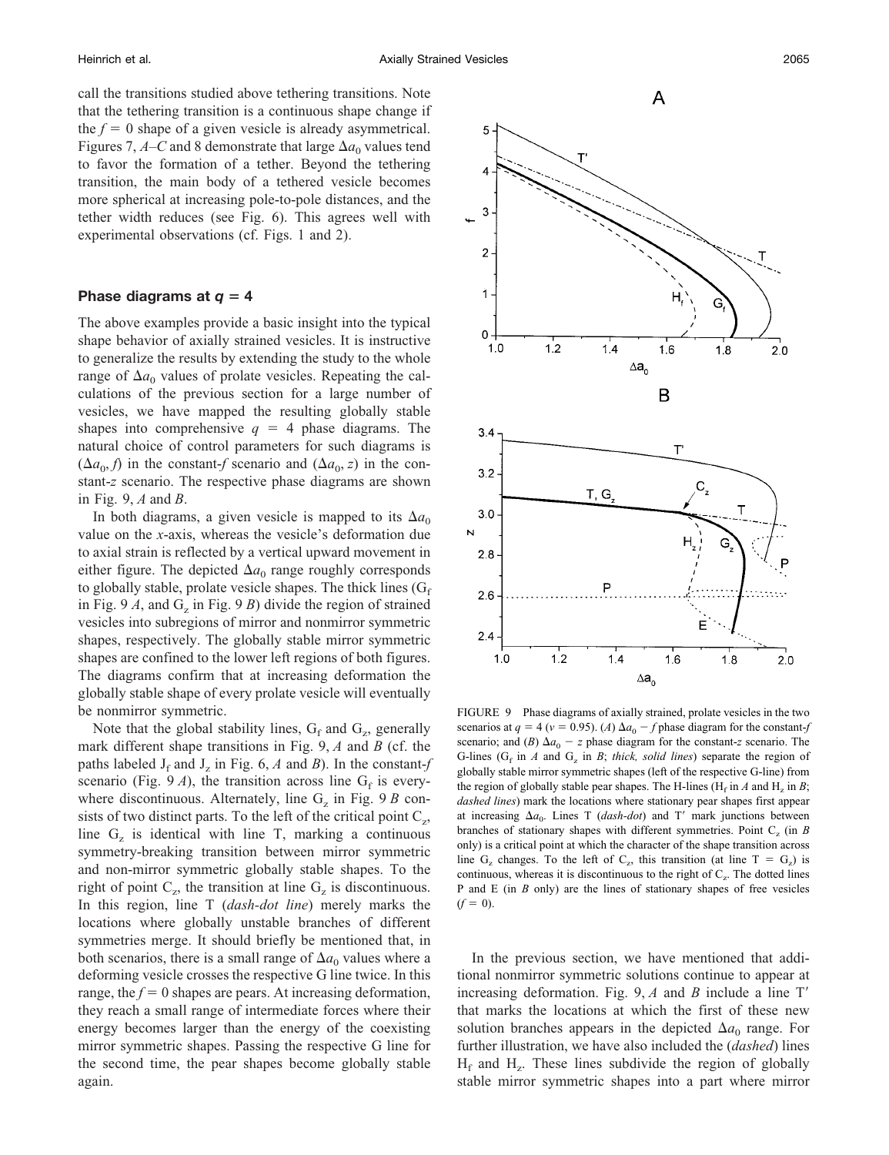call the transitions studied above tethering transitions. Note that the tethering transition is a continuous shape change if the  $f = 0$  shape of a given vesicle is already asymmetrical. Figures 7, *A*–*C* and 8 demonstrate that large  $\Delta a_0$  values tend to favor the formation of a tether. Beyond the tethering transition, the main body of a tethered vesicle becomes more spherical at increasing pole-to-pole distances, and the tether width reduces (see Fig. 6). This agrees well with experimental observations (cf. Figs. 1 and 2).

#### **Phase diagrams at**  $q = 4$

The above examples provide a basic insight into the typical shape behavior of axially strained vesicles. It is instructive to generalize the results by extending the study to the whole range of  $\Delta a_0$  values of prolate vesicles. Repeating the calculations of the previous section for a large number of vesicles, we have mapped the resulting globally stable shapes into comprehensive  $q = 4$  phase diagrams. The natural choice of control parameters for such diagrams is  $(\Delta a_0, f)$  in the constant-*f* scenario and  $(\Delta a_0, z)$  in the constant-*z* scenario. The respective phase diagrams are shown in Fig. 9, *A* and *B*.

In both diagrams, a given vesicle is mapped to its  $\Delta a_0$ value on the *x*-axis, whereas the vesicle's deformation due to axial strain is reflected by a vertical upward movement in either figure. The depicted  $\Delta a_0$  range roughly corresponds to globally stable, prolate vesicle shapes. The thick lines  $(G_f)$ in Fig. 9  $\dot{A}$ , and G<sub>z</sub> in Fig. 9  $\dot{B}$ ) divide the region of strained vesicles into subregions of mirror and nonmirror symmetric shapes, respectively. The globally stable mirror symmetric shapes are confined to the lower left regions of both figures. The diagrams confirm that at increasing deformation the globally stable shape of every prolate vesicle will eventually be nonmirror symmetric.

Note that the global stability lines,  $G_f$  and  $G_z$ , generally mark different shape transitions in Fig. 9, *A* and *B* (cf. the paths labeled  $J_f$  and  $J_z$  in Fig. 6, A and B). In the constant-f scenario (Fig. 9 *A*), the transition across line  $G_f$  is everywhere discontinuous. Alternately, line  $G<sub>z</sub>$  in Fig. 9 *B* consists of two distinct parts. To the left of the critical point  $C_z$ , line  $G<sub>z</sub>$  is identical with line T, marking a continuous symmetry-breaking transition between mirror symmetric and non-mirror symmetric globally stable shapes. To the right of point  $C_z$ , the transition at line  $G_z$  is discontinuous. In this region, line T (*dash-dot line*) merely marks the locations where globally unstable branches of different symmetries merge. It should briefly be mentioned that, in both scenarios, there is a small range of  $\Delta a_0$  values where a deforming vesicle crosses the respective G line twice. In this range, the  $f = 0$  shapes are pears. At increasing deformation, they reach a small range of intermediate forces where their energy becomes larger than the energy of the coexisting mirror symmetric shapes. Passing the respective G line for the second time, the pear shapes become globally stable again.



FIGURE 9 Phase diagrams of axially strained, prolate vesicles in the two scenarios at  $q = 4$  ( $v = 0.95$ ). (*A*)  $\Delta a_0 - f$  phase diagram for the constant-*f* scenario; and (*B*)  $\Delta a_0$  – *z* phase diagram for the constant-*z* scenario. The G-lines ( $G_f$  in *A* and  $G_z$  in *B*; *thick, solid lines*) separate the region of globally stable mirror symmetric shapes (left of the respective G-line) from the region of globally stable pear shapes. The H-lines ( $H_f$  in *A* and  $H_z$  in *B*; *dashed lines*) mark the locations where stationary pear shapes first appear at increasing  $\Delta a_0$ . Lines T (*dash-dot*) and T' mark junctions between branches of stationary shapes with different symmetries. Point  $C_z$  (in *B* only) is a critical point at which the character of the shape transition across line G<sub>z</sub> changes. To the left of C<sub>z</sub>, this transition (at line T = G<sub>z</sub>) is continuous, whereas it is discontinuous to the right of  $C_z$ . The dotted lines P and E (in *B* only) are the lines of stationary shapes of free vesicles  $(f = 0)$ .

In the previous section, we have mentioned that additional nonmirror symmetric solutions continue to appear at increasing deformation. Fig. 9, *A* and *B* include a line T that marks the locations at which the first of these new solution branches appears in the depicted  $\Delta a_0$  range. For further illustration, we have also included the (*dashed*) lines  $H_f$  and  $H_z$ . These lines subdivide the region of globally stable mirror symmetric shapes into a part where mirror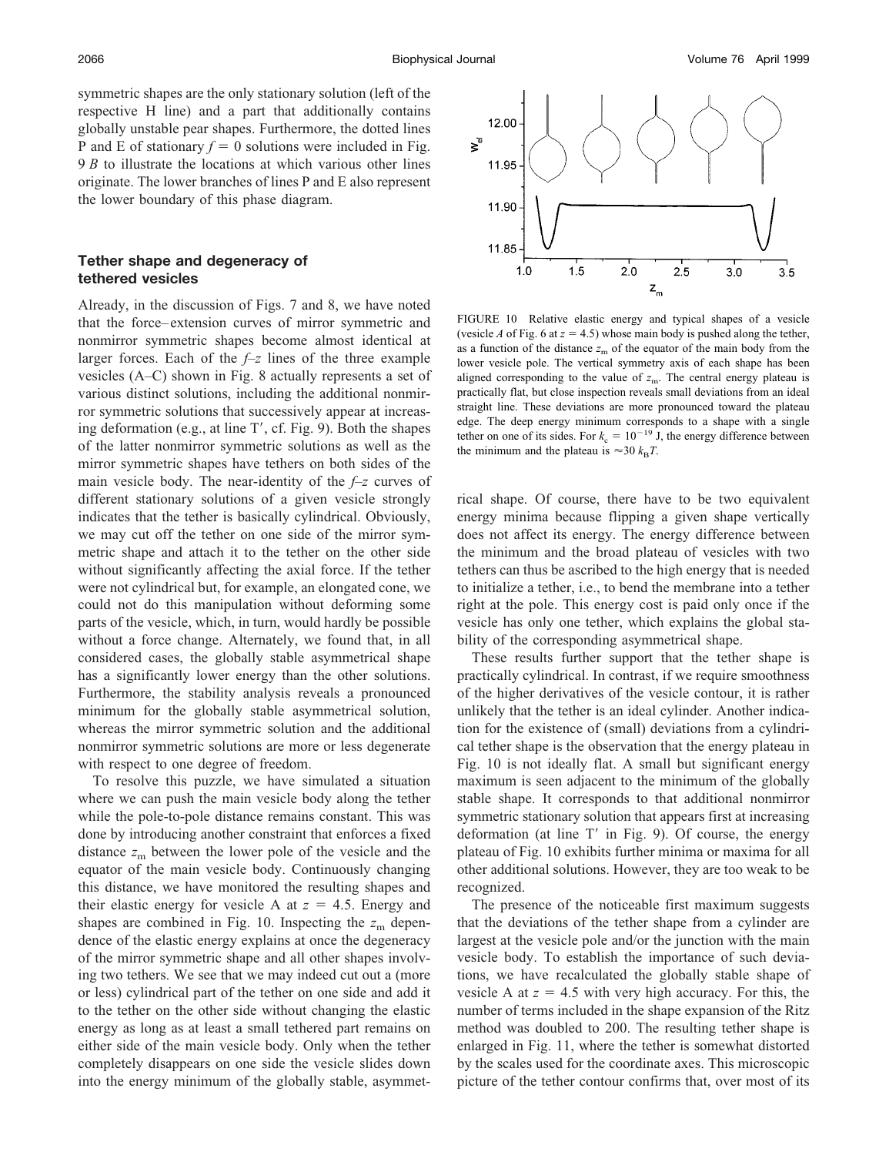symmetric shapes are the only stationary solution (left of the respective H line) and a part that additionally contains globally unstable pear shapes. Furthermore, the dotted lines P and E of stationary  $f = 0$  solutions were included in Fig. 9 *B* to illustrate the locations at which various other lines originate. The lower branches of lines P and E also represent the lower boundary of this phase diagram.

### **Tether shape and degeneracy of tethered vesicles**

Already, in the discussion of Figs. 7 and 8, we have noted that the force– extension curves of mirror symmetric and nonmirror symmetric shapes become almost identical at larger forces. Each of the  $f-z$  lines of the three example vesicles (A–C) shown in Fig. 8 actually represents a set of various distinct solutions, including the additional nonmirror symmetric solutions that successively appear at increasing deformation (e.g., at line  $T'$ , cf. Fig. 9). Both the shapes of the latter nonmirror symmetric solutions as well as the mirror symmetric shapes have tethers on both sides of the main vesicle body. The near-identity of the *f*–*z* curves of different stationary solutions of a given vesicle strongly indicates that the tether is basically cylindrical. Obviously, we may cut off the tether on one side of the mirror symmetric shape and attach it to the tether on the other side without significantly affecting the axial force. If the tether were not cylindrical but, for example, an elongated cone, we could not do this manipulation without deforming some parts of the vesicle, which, in turn, would hardly be possible without a force change. Alternately, we found that, in all considered cases, the globally stable asymmetrical shape has a significantly lower energy than the other solutions. Furthermore, the stability analysis reveals a pronounced minimum for the globally stable asymmetrical solution, whereas the mirror symmetric solution and the additional nonmirror symmetric solutions are more or less degenerate with respect to one degree of freedom.

To resolve this puzzle, we have simulated a situation where we can push the main vesicle body along the tether while the pole-to-pole distance remains constant. This was done by introducing another constraint that enforces a fixed distance  $z<sub>m</sub>$  between the lower pole of the vesicle and the equator of the main vesicle body. Continuously changing this distance, we have monitored the resulting shapes and their elastic energy for vesicle A at  $z = 4.5$ . Energy and shapes are combined in Fig. 10. Inspecting the  $z<sub>m</sub>$  dependence of the elastic energy explains at once the degeneracy of the mirror symmetric shape and all other shapes involving two tethers. We see that we may indeed cut out a (more or less) cylindrical part of the tether on one side and add it to the tether on the other side without changing the elastic energy as long as at least a small tethered part remains on either side of the main vesicle body. Only when the tether completely disappears on one side the vesicle slides down into the energy minimum of the globally stable, asymmet-



FIGURE 10 Relative elastic energy and typical shapes of a vesicle (vesicle *A* of Fig. 6 at  $z = 4.5$ ) whose main body is pushed along the tether, as a function of the distance  $z<sub>m</sub>$  of the equator of the main body from the lower vesicle pole. The vertical symmetry axis of each shape has been aligned corresponding to the value of  $z<sub>m</sub>$ . The central energy plateau is practically flat, but close inspection reveals small deviations from an ideal straight line. These deviations are more pronounced toward the plateau edge. The deep energy minimum corresponds to a shape with a single tether on one of its sides. For  $k_c = 10^{-19}$  J, the energy difference between the minimum and the plateau is  $\approx 30$   $k_{\rm B}T$ .

rical shape. Of course, there have to be two equivalent energy minima because flipping a given shape vertically does not affect its energy. The energy difference between the minimum and the broad plateau of vesicles with two tethers can thus be ascribed to the high energy that is needed to initialize a tether, i.e., to bend the membrane into a tether right at the pole. This energy cost is paid only once if the vesicle has only one tether, which explains the global stability of the corresponding asymmetrical shape.

These results further support that the tether shape is practically cylindrical. In contrast, if we require smoothness of the higher derivatives of the vesicle contour, it is rather unlikely that the tether is an ideal cylinder. Another indication for the existence of (small) deviations from a cylindrical tether shape is the observation that the energy plateau in Fig. 10 is not ideally flat. A small but significant energy maximum is seen adjacent to the minimum of the globally stable shape. It corresponds to that additional nonmirror symmetric stationary solution that appears first at increasing deformation (at line  $T'$  in Fig. 9). Of course, the energy plateau of Fig. 10 exhibits further minima or maxima for all other additional solutions. However, they are too weak to be recognized.

The presence of the noticeable first maximum suggests that the deviations of the tether shape from a cylinder are largest at the vesicle pole and/or the junction with the main vesicle body. To establish the importance of such deviations, we have recalculated the globally stable shape of vesicle A at  $z = 4.5$  with very high accuracy. For this, the number of terms included in the shape expansion of the Ritz method was doubled to 200. The resulting tether shape is enlarged in Fig. 11, where the tether is somewhat distorted by the scales used for the coordinate axes. This microscopic picture of the tether contour confirms that, over most of its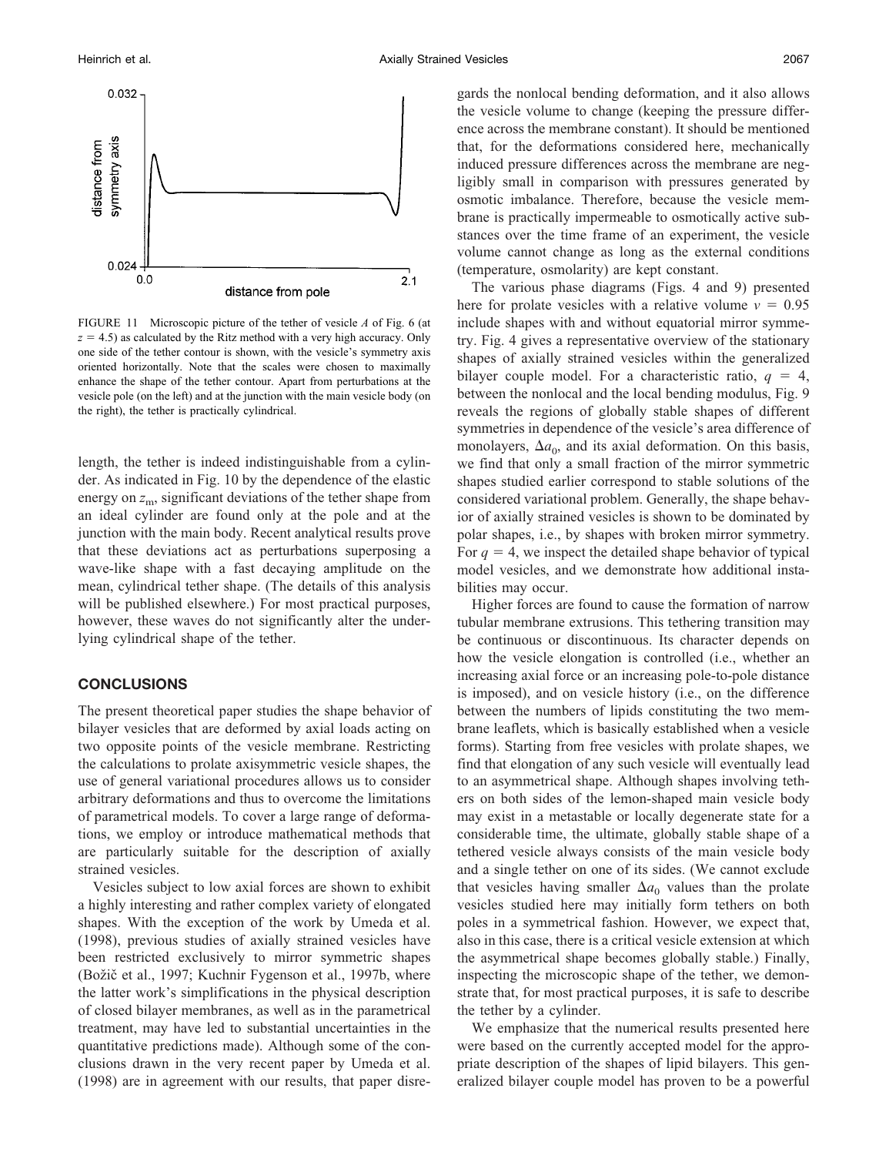

FIGURE 11 Microscopic picture of the tether of vesicle *A* of Fig. 6 (at  $z = 4.5$ ) as calculated by the Ritz method with a very high accuracy. Only one side of the tether contour is shown, with the vesicle's symmetry axis oriented horizontally. Note that the scales were chosen to maximally enhance the shape of the tether contour. Apart from perturbations at the vesicle pole (on the left) and at the junction with the main vesicle body (on the right), the tether is practically cylindrical.

length, the tether is indeed indistinguishable from a cylinder. As indicated in Fig. 10 by the dependence of the elastic energy on  $z<sub>m</sub>$ , significant deviations of the tether shape from an ideal cylinder are found only at the pole and at the junction with the main body. Recent analytical results prove that these deviations act as perturbations superposing a wave-like shape with a fast decaying amplitude on the mean, cylindrical tether shape. (The details of this analysis will be published elsewhere.) For most practical purposes, however, these waves do not significantly alter the underlying cylindrical shape of the tether.

#### **CONCLUSIONS**

The present theoretical paper studies the shape behavior of bilayer vesicles that are deformed by axial loads acting on two opposite points of the vesicle membrane. Restricting the calculations to prolate axisymmetric vesicle shapes, the use of general variational procedures allows us to consider arbitrary deformations and thus to overcome the limitations of parametrical models. To cover a large range of deformations, we employ or introduce mathematical methods that are particularly suitable for the description of axially strained vesicles.

Vesicles subject to low axial forces are shown to exhibit a highly interesting and rather complex variety of elongated shapes. With the exception of the work by Umeda et al. (1998), previous studies of axially strained vesicles have been restricted exclusively to mirror symmetric shapes (Božič et al., 1997; Kuchnir Fygenson et al., 1997b, where the latter work's simplifications in the physical description of closed bilayer membranes, as well as in the parametrical treatment, may have led to substantial uncertainties in the quantitative predictions made). Although some of the conclusions drawn in the very recent paper by Umeda et al. (1998) are in agreement with our results, that paper disregards the nonlocal bending deformation, and it also allows the vesicle volume to change (keeping the pressure difference across the membrane constant). It should be mentioned that, for the deformations considered here, mechanically induced pressure differences across the membrane are negligibly small in comparison with pressures generated by osmotic imbalance. Therefore, because the vesicle membrane is practically impermeable to osmotically active substances over the time frame of an experiment, the vesicle volume cannot change as long as the external conditions (temperature, osmolarity) are kept constant.

The various phase diagrams (Figs. 4 and 9) presented here for prolate vesicles with a relative volume  $v = 0.95$ include shapes with and without equatorial mirror symmetry. Fig. 4 gives a representative overview of the stationary shapes of axially strained vesicles within the generalized bilayer couple model. For a characteristic ratio,  $q = 4$ , between the nonlocal and the local bending modulus, Fig. 9 reveals the regions of globally stable shapes of different symmetries in dependence of the vesicle's area difference of monolayers,  $\Delta a_0$ , and its axial deformation. On this basis, we find that only a small fraction of the mirror symmetric shapes studied earlier correspond to stable solutions of the considered variational problem. Generally, the shape behavior of axially strained vesicles is shown to be dominated by polar shapes, i.e., by shapes with broken mirror symmetry. For  $q = 4$ , we inspect the detailed shape behavior of typical model vesicles, and we demonstrate how additional instabilities may occur.

Higher forces are found to cause the formation of narrow tubular membrane extrusions. This tethering transition may be continuous or discontinuous. Its character depends on how the vesicle elongation is controlled (i.e., whether an increasing axial force or an increasing pole-to-pole distance is imposed), and on vesicle history (i.e., on the difference between the numbers of lipids constituting the two membrane leaflets, which is basically established when a vesicle forms). Starting from free vesicles with prolate shapes, we find that elongation of any such vesicle will eventually lead to an asymmetrical shape. Although shapes involving tethers on both sides of the lemon-shaped main vesicle body may exist in a metastable or locally degenerate state for a considerable time, the ultimate, globally stable shape of a tethered vesicle always consists of the main vesicle body and a single tether on one of its sides. (We cannot exclude that vesicles having smaller  $\Delta a_0$  values than the prolate vesicles studied here may initially form tethers on both poles in a symmetrical fashion. However, we expect that, also in this case, there is a critical vesicle extension at which the asymmetrical shape becomes globally stable.) Finally, inspecting the microscopic shape of the tether, we demonstrate that, for most practical purposes, it is safe to describe the tether by a cylinder.

We emphasize that the numerical results presented here were based on the currently accepted model for the appropriate description of the shapes of lipid bilayers. This generalized bilayer couple model has proven to be a powerful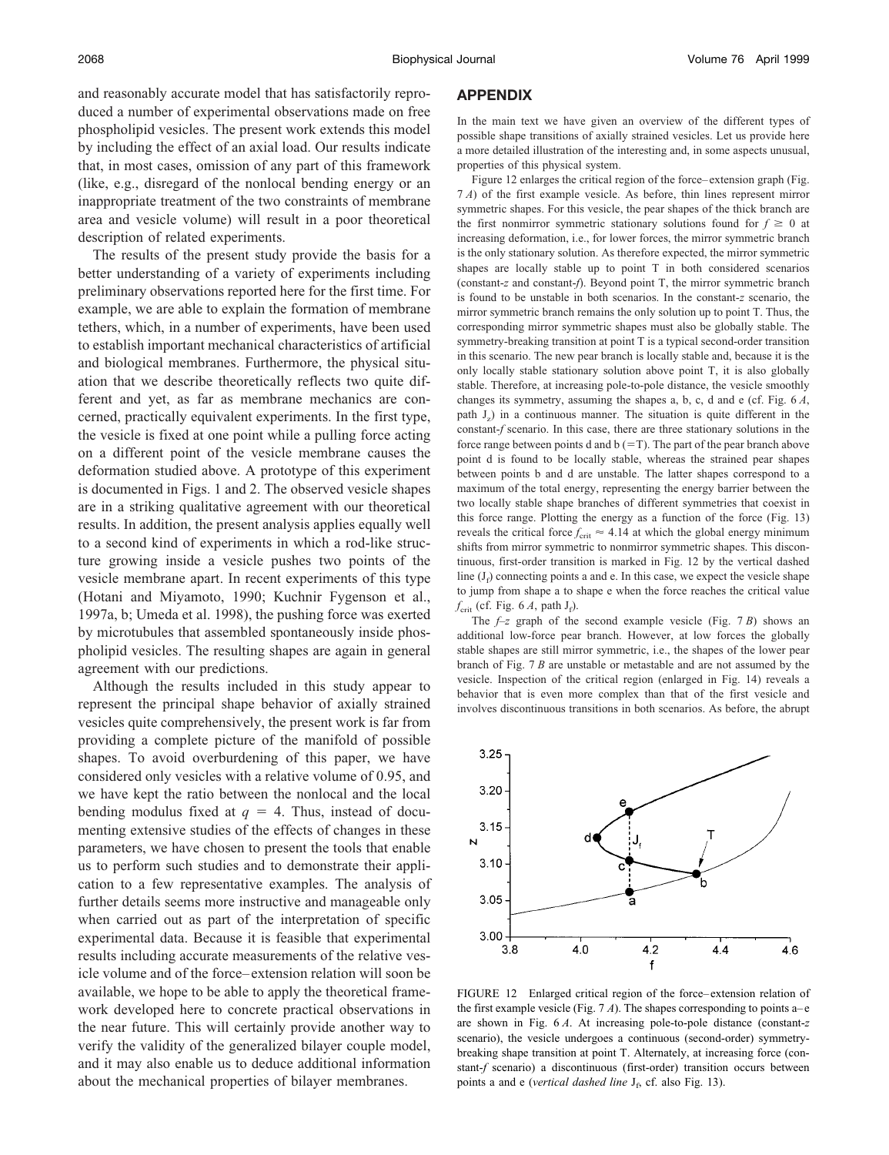and reasonably accurate model that has satisfactorily reproduced a number of experimental observations made on free phospholipid vesicles. The present work extends this model by including the effect of an axial load. Our results indicate that, in most cases, omission of any part of this framework (like, e.g., disregard of the nonlocal bending energy or an inappropriate treatment of the two constraints of membrane area and vesicle volume) will result in a poor theoretical description of related experiments.

The results of the present study provide the basis for a better understanding of a variety of experiments including preliminary observations reported here for the first time. For example, we are able to explain the formation of membrane tethers, which, in a number of experiments, have been used to establish important mechanical characteristics of artificial and biological membranes. Furthermore, the physical situation that we describe theoretically reflects two quite different and yet, as far as membrane mechanics are concerned, practically equivalent experiments. In the first type, the vesicle is fixed at one point while a pulling force acting on a different point of the vesicle membrane causes the deformation studied above. A prototype of this experiment is documented in Figs. 1 and 2. The observed vesicle shapes are in a striking qualitative agreement with our theoretical results. In addition, the present analysis applies equally well to a second kind of experiments in which a rod-like structure growing inside a vesicle pushes two points of the vesicle membrane apart. In recent experiments of this type (Hotani and Miyamoto, 1990; Kuchnir Fygenson et al., 1997a, b; Umeda et al. 1998), the pushing force was exerted by microtubules that assembled spontaneously inside phospholipid vesicles. The resulting shapes are again in general agreement with our predictions.

Although the results included in this study appear to represent the principal shape behavior of axially strained vesicles quite comprehensively, the present work is far from providing a complete picture of the manifold of possible shapes. To avoid overburdening of this paper, we have considered only vesicles with a relative volume of 0.95, and we have kept the ratio between the nonlocal and the local bending modulus fixed at  $q = 4$ . Thus, instead of documenting extensive studies of the effects of changes in these parameters, we have chosen to present the tools that enable us to perform such studies and to demonstrate their application to a few representative examples. The analysis of further details seems more instructive and manageable only when carried out as part of the interpretation of specific experimental data. Because it is feasible that experimental results including accurate measurements of the relative vesicle volume and of the force– extension relation will soon be available, we hope to be able to apply the theoretical framework developed here to concrete practical observations in the near future. This will certainly provide another way to verify the validity of the generalized bilayer couple model, and it may also enable us to deduce additional information about the mechanical properties of bilayer membranes.

#### **APPENDIX**

In the main text we have given an overview of the different types of possible shape transitions of axially strained vesicles. Let us provide here a more detailed illustration of the interesting and, in some aspects unusual, properties of this physical system.

Figure 12 enlarges the critical region of the force– extension graph (Fig. 7 *A*) of the first example vesicle. As before, thin lines represent mirror symmetric shapes. For this vesicle, the pear shapes of the thick branch are the first nonmirror symmetric stationary solutions found for  $f \geq 0$  at increasing deformation, i.e., for lower forces, the mirror symmetric branch is the only stationary solution. As therefore expected, the mirror symmetric shapes are locally stable up to point T in both considered scenarios (constant-*z* and constant-*f*). Beyond point T, the mirror symmetric branch is found to be unstable in both scenarios. In the constant-*z* scenario, the mirror symmetric branch remains the only solution up to point T. Thus, the corresponding mirror symmetric shapes must also be globally stable. The symmetry-breaking transition at point T is a typical second-order transition in this scenario. The new pear branch is locally stable and, because it is the only locally stable stationary solution above point T, it is also globally stable. Therefore, at increasing pole-to-pole distance, the vesicle smoothly changes its symmetry, assuming the shapes a, b, c, d and e (cf. Fig. 6 *A*, path J<sub>z</sub>) in a continuous manner. The situation is quite different in the constant-*f* scenario. In this case, there are three stationary solutions in the force range between points d and  $b (=T)$ . The part of the pear branch above point d is found to be locally stable, whereas the strained pear shapes between points b and d are unstable. The latter shapes correspond to a maximum of the total energy, representing the energy barrier between the two locally stable shape branches of different symmetries that coexist in this force range. Plotting the energy as a function of the force (Fig. 13) reveals the critical force  $f_{\text{crit}} \approx 4.14$  at which the global energy minimum shifts from mirror symmetric to nonmirror symmetric shapes. This discontinuous, first-order transition is marked in Fig. 12 by the vertical dashed line  $(J_f)$  connecting points a and e. In this case, we expect the vesicle shape to jump from shape a to shape e when the force reaches the critical value  $f_{\text{crit}}$  (cf. Fig. 6 *A*, path J<sub>f</sub>).

The *f*–*z* graph of the second example vesicle (Fig. 7 *B*) shows an additional low-force pear branch. However, at low forces the globally stable shapes are still mirror symmetric, i.e., the shapes of the lower pear branch of Fig. 7 *B* are unstable or metastable and are not assumed by the vesicle. Inspection of the critical region (enlarged in Fig. 14) reveals a behavior that is even more complex than that of the first vesicle and involves discontinuous transitions in both scenarios. As before, the abrupt



FIGURE 12 Enlarged critical region of the force– extension relation of the first example vesicle (Fig.  $7 \text{ } A$ ). The shapes corresponding to points a–e are shown in Fig. 6 *A*. At increasing pole-to-pole distance (constant-*z* scenario), the vesicle undergoes a continuous (second-order) symmetrybreaking shape transition at point T. Alternately, at increasing force (constant-*f* scenario) a discontinuous (first-order) transition occurs between points a and e (*vertical dashed line* J<sub>f</sub>, cf. also Fig. 13).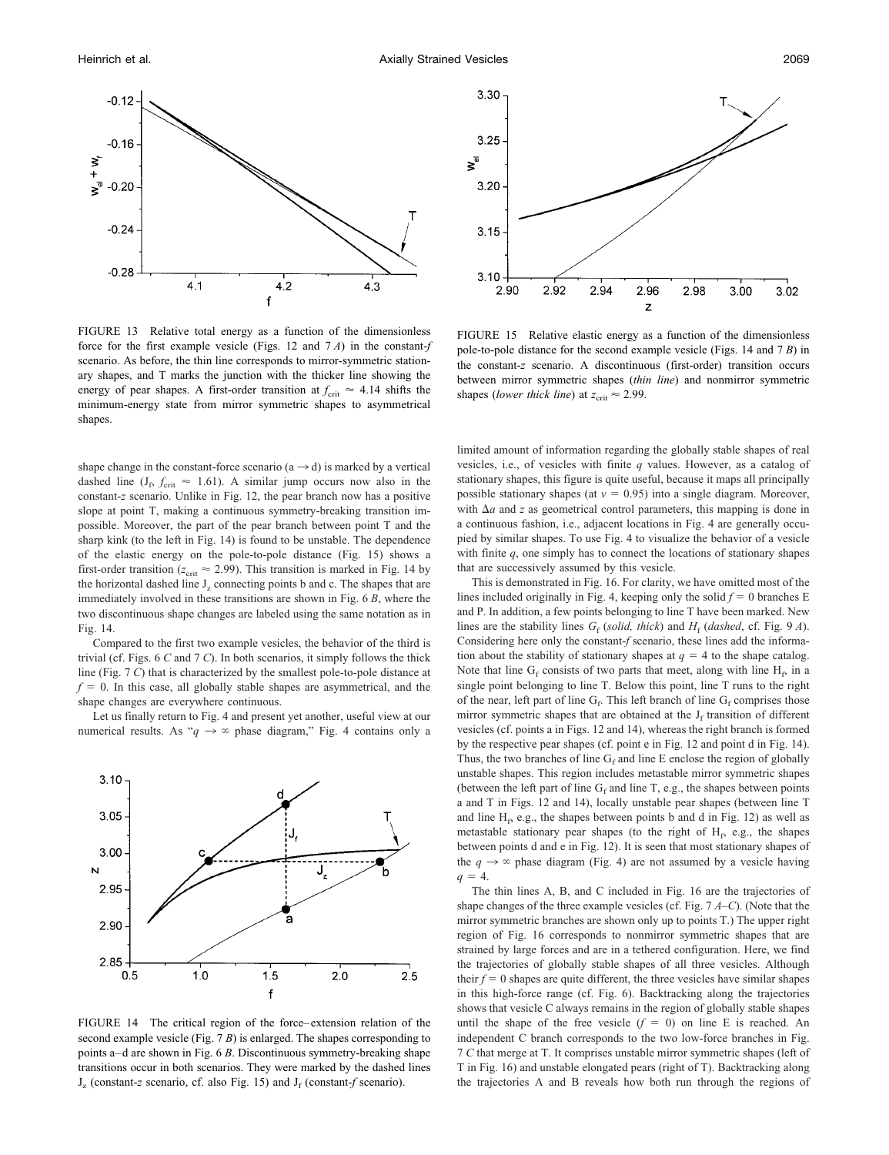

FIGURE 13 Relative total energy as a function of the dimensionless force for the first example vesicle (Figs. 12 and 7 *A*) in the constant-*f* scenario. As before, the thin line corresponds to mirror-symmetric stationary shapes, and T marks the junction with the thicker line showing the energy of pear shapes. A first-order transition at  $f_{\text{crit}} \approx 4.14$  shifts the minimum-energy state from mirror symmetric shapes to asymmetrical shapes.

shape change in the constant-force scenario  $(a \rightarrow d)$  is marked by a vertical dashed line ( $J_f$ ,  $f_{crit} \approx 1.61$ ). A similar jump occurs now also in the constant-*z* scenario. Unlike in Fig. 12, the pear branch now has a positive slope at point T, making a continuous symmetry-breaking transition impossible. Moreover, the part of the pear branch between point T and the sharp kink (to the left in Fig. 14) is found to be unstable. The dependence of the elastic energy on the pole-to-pole distance (Fig. 15) shows a first-order transition ( $z_{\text{crit}} \approx 2.99$ ). This transition is marked in Fig. 14 by the horizontal dashed line  $J_z$  connecting points b and c. The shapes that are immediately involved in these transitions are shown in Fig. 6 *B*, where the two discontinuous shape changes are labeled using the same notation as in Fig. 14.

Compared to the first two example vesicles, the behavior of the third is trivial (cf. Figs. 6 *C* and 7 *C*). In both scenarios, it simply follows the thick line (Fig. 7 *C*) that is characterized by the smallest pole-to-pole distance at  $f = 0$ . In this case, all globally stable shapes are asymmetrical, and the shape changes are everywhere continuous.

Let us finally return to Fig. 4 and present yet another, useful view at our numerical results. As " $q \rightarrow \infty$  phase diagram," Fig. 4 contains only a



FIGURE 14 The critical region of the force– extension relation of the second example vesicle (Fig. 7 *B*) is enlarged. The shapes corresponding to points a– d are shown in Fig. 6 *B*. Discontinuous symmetry-breaking shape transitions occur in both scenarios. They were marked by the dashed lines  $J_{\tau}$  (constant-*z* scenario, cf. also Fig. 15) and  $J_{\tau}$  (constant-*f* scenario).



FIGURE 15 Relative elastic energy as a function of the dimensionless pole-to-pole distance for the second example vesicle (Figs. 14 and 7 *B*) in the constant-*z* scenario. A discontinuous (first-order) transition occurs between mirror symmetric shapes (*thin line*) and nonmirror symmetric shapes (*lower thick line*) at  $z_{\text{crit}} \approx 2.99$ .

limited amount of information regarding the globally stable shapes of real vesicles, i.e., of vesicles with finite *q* values. However, as a catalog of stationary shapes, this figure is quite useful, because it maps all principally possible stationary shapes (at  $v = 0.95$ ) into a single diagram. Moreover, with  $\Delta a$  and *z* as geometrical control parameters, this mapping is done in a continuous fashion, i.e., adjacent locations in Fig. 4 are generally occupied by similar shapes. To use Fig. 4 to visualize the behavior of a vesicle with finite  $q$ , one simply has to connect the locations of stationary shapes that are successively assumed by this vesicle.

This is demonstrated in Fig. 16. For clarity, we have omitted most of the lines included originally in Fig. 4, keeping only the solid  $f = 0$  branches E and P. In addition, a few points belonging to line T have been marked. New lines are the stability lines  $G_f$  (*solid, thick*) and  $H_f$  (*dashed*, cf. Fig. 9 *A*). Considering here only the constant-*f* scenario, these lines add the information about the stability of stationary shapes at  $q = 4$  to the shape catalog. Note that line  $G_f$  consists of two parts that meet, along with line  $H_f$ , in a single point belonging to line T. Below this point, line T runs to the right of the near, left part of line  $G_f$ . This left branch of line  $G_f$  comprises those mirror symmetric shapes that are obtained at the  $J_f$  transition of different vesicles (cf. points a in Figs. 12 and 14), whereas the right branch is formed by the respective pear shapes (cf. point e in Fig. 12 and point d in Fig. 14). Thus, the two branches of line  $G_f$  and line E enclose the region of globally unstable shapes. This region includes metastable mirror symmetric shapes (between the left part of line  $G_f$  and line T, e.g., the shapes between points a and T in Figs. 12 and 14), locally unstable pear shapes (between line T and line  $H_f$ , e.g., the shapes between points b and d in Fig. 12) as well as metastable stationary pear shapes (to the right of  $H<sub>f</sub>$ , e.g., the shapes between points d and e in Fig. 12). It is seen that most stationary shapes of the  $q \rightarrow \infty$  phase diagram (Fig. 4) are not assumed by a vesicle having  $q = 4$ .

The thin lines A, B, and C included in Fig. 16 are the trajectories of shape changes of the three example vesicles (cf. Fig. 7 *A*–*C*). (Note that the mirror symmetric branches are shown only up to points T.) The upper right region of Fig. 16 corresponds to nonmirror symmetric shapes that are strained by large forces and are in a tethered configuration. Here, we find the trajectories of globally stable shapes of all three vesicles. Although their  $f = 0$  shapes are quite different, the three vesicles have similar shapes in this high-force range (cf. Fig. 6). Backtracking along the trajectories shows that vesicle C always remains in the region of globally stable shapes until the shape of the free vesicle  $(f = 0)$  on line E is reached. An independent C branch corresponds to the two low-force branches in Fig. 7 *C* that merge at T. It comprises unstable mirror symmetric shapes (left of T in Fig. 16) and unstable elongated pears (right of T). Backtracking along the trajectories A and B reveals how both run through the regions of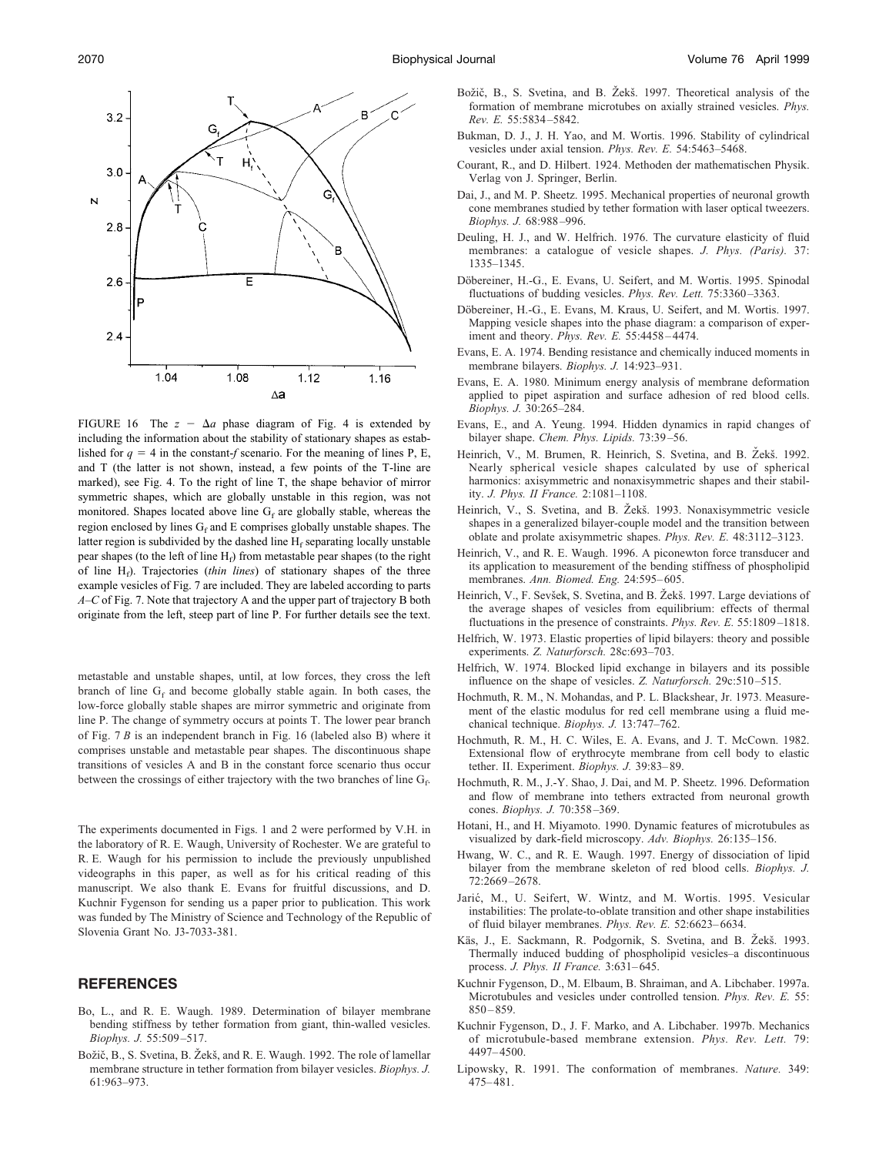

FIGURE 16 The  $z - \Delta a$  phase diagram of Fig. 4 is extended by including the information about the stability of stationary shapes as established for  $q = 4$  in the constant-*f* scenario. For the meaning of lines P, E, and T (the latter is not shown, instead, a few points of the T-line are marked), see Fig. 4. To the right of line T, the shape behavior of mirror symmetric shapes, which are globally unstable in this region, was not monitored. Shapes located above line  $G_f$  are globally stable, whereas the region enclosed by lines  $G_f$  and E comprises globally unstable shapes. The latter region is subdivided by the dashed line  $H_f$  separating locally unstable pear shapes (to the left of line  $H_f$ ) from metastable pear shapes (to the right of line H<sub>f</sub>). Trajectories (*thin lines*) of stationary shapes of the three example vesicles of Fig. 7 are included. They are labeled according to parts *A*–*C* of Fig. 7. Note that trajectory A and the upper part of trajectory B both originate from the left, steep part of line P. For further details see the text.

metastable and unstable shapes, until, at low forces, they cross the left branch of line  $G_f$  and become globally stable again. In both cases, the low-force globally stable shapes are mirror symmetric and originate from line P. The change of symmetry occurs at points T. The lower pear branch of Fig. 7 *B* is an independent branch in Fig. 16 (labeled also B) where it comprises unstable and metastable pear shapes. The discontinuous shape transitions of vesicles A and B in the constant force scenario thus occur between the crossings of either trajectory with the two branches of line  $G_f$ .

The experiments documented in Figs. 1 and 2 were performed by V.H. in the laboratory of R. E. Waugh, University of Rochester. We are grateful to R. E. Waugh for his permission to include the previously unpublished videographs in this paper, as well as for his critical reading of this manuscript. We also thank E. Evans for fruitful discussions, and D. Kuchnir Fygenson for sending us a paper prior to publication. This work was funded by The Ministry of Science and Technology of the Republic of Slovenia Grant No. J3-7033-381.

## **REFERENCES**

- Bo, L., and R. E. Waugh. 1989. Determination of bilayer membrane bending stiffness by tether formation from giant, thin-walled vesicles. *Biophys. J.* 55:509 –517.
- Božič, B., S. Svetina, B. Žekš, and R. E. Waugh. 1992. The role of lamellar membrane structure in tether formation from bilayer vesicles. *Biophys. J.* 61:963–973.
- Božič, B., S. Svetina, and B. Žekš. 1997. Theoretical analysis of the formation of membrane microtubes on axially strained vesicles. *Phys. Rev. E.* 55:5834 –5842.
- Bukman, D. J., J. H. Yao, and M. Wortis. 1996. Stability of cylindrical vesicles under axial tension. *Phys. Rev. E.* 54:5463–5468.
- Courant, R., and D. Hilbert. 1924. Methoden der mathematischen Physik. Verlag von J. Springer, Berlin.
- Dai, J., and M. P. Sheetz. 1995. Mechanical properties of neuronal growth cone membranes studied by tether formation with laser optical tweezers. *Biophys. J.* 68:988 –996.
- Deuling, H. J., and W. Helfrich. 1976. The curvature elasticity of fluid membranes: a catalogue of vesicle shapes. *J. Phys. (Paris).* 37: 1335–1345.
- Döbereiner, H.-G., E. Evans, U. Seifert, and M. Wortis. 1995. Spinodal fluctuations of budding vesicles. *Phys. Rev. Lett.* 75:3360 –3363.
- Döbereiner, H.-G., E. Evans, M. Kraus, U. Seifert, and M. Wortis. 1997. Mapping vesicle shapes into the phase diagram: a comparison of experiment and theory. *Phys. Rev. E.* 55:4458 – 4474.
- Evans, E. A. 1974. Bending resistance and chemically induced moments in membrane bilayers. *Biophys. J.* 14:923–931.
- Evans, E. A. 1980. Minimum energy analysis of membrane deformation applied to pipet aspiration and surface adhesion of red blood cells. *Biophys. J.* 30:265–284.
- Evans, E., and A. Yeung. 1994. Hidden dynamics in rapid changes of bilayer shape. *Chem. Phys. Lipids.* 73:39 –56.
- Heinrich, V., M. Brumen, R. Heinrich, S. Svetina, and B. Žekš. 1992. Nearly spherical vesicle shapes calculated by use of spherical harmonics: axisymmetric and nonaxisymmetric shapes and their stability. *J. Phys. II France.* 2:1081–1108.
- Heinrich, V., S. Svetina, and B. Žekš. 1993. Nonaxisymmetric vesicle shapes in a generalized bilayer-couple model and the transition between oblate and prolate axisymmetric shapes. *Phys. Rev. E.* 48:3112–3123.
- Heinrich, V., and R. E. Waugh. 1996. A piconewton force transducer and its application to measurement of the bending stiffness of phospholipid membranes. *Ann. Biomed. Eng.* 24:595– 605.
- Heinrich, V., F. Sevšek, S. Svetina, and B. Žekš. 1997. Large deviations of the average shapes of vesicles from equilibrium: effects of thermal fluctuations in the presence of constraints. *Phys. Rev. E.* 55:1809 –1818.
- Helfrich, W. 1973. Elastic properties of lipid bilayers: theory and possible experiments. *Z. Naturforsch.* 28c:693–703.
- Helfrich, W. 1974. Blocked lipid exchange in bilayers and its possible influence on the shape of vesicles. *Z. Naturforsch.* 29c:510 –515.
- Hochmuth, R. M., N. Mohandas, and P. L. Blackshear, Jr. 1973. Measurement of the elastic modulus for red cell membrane using a fluid mechanical technique. *Biophys. J.* 13:747–762.
- Hochmuth, R. M., H. C. Wiles, E. A. Evans, and J. T. McCown. 1982. Extensional flow of erythrocyte membrane from cell body to elastic tether. II. Experiment. *Biophys. J.* 39:83– 89.
- Hochmuth, R. M., J.-Y. Shao, J. Dai, and M. P. Sheetz. 1996. Deformation and flow of membrane into tethers extracted from neuronal growth cones. *Biophys. J.* 70:358–369.
- Hotani, H., and H. Miyamoto. 1990. Dynamic features of microtubules as visualized by dark-field microscopy. *Adv. Biophys.* 26:135–156.
- Hwang, W. C., and R. E. Waugh. 1997. Energy of dissociation of lipid bilayer from the membrane skeleton of red blood cells. *Biophys. J.* 72:2669 –2678.
- Jarić, M., U. Seifert, W. Wintz, and M. Wortis. 1995. Vesicular instabilities: The prolate-to-oblate transition and other shape instabilities of fluid bilayer membranes. *Phys. Rev. E.* 52:6623– 6634.
- Käs, J., E. Sackmann, R. Podgornik, S. Svetina, and B. Žekš. 1993. Thermally induced budding of phospholipid vesicles–a discontinuous process. *J. Phys. II France.* 3:631-645.
- Kuchnir Fygenson, D., M. Elbaum, B. Shraiman, and A. Libchaber. 1997a. Microtubules and vesicles under controlled tension. *Phys. Rev. E.* 55:  $850 - 859.$
- Kuchnir Fygenson, D., J. F. Marko, and A. Libchaber. 1997b. Mechanics of microtubule-based membrane extension. *Phys. Rev. Lett.* 79: 4497– 4500.
- Lipowsky, R. 1991. The conformation of membranes. *Nature.* 349: 475– 481.